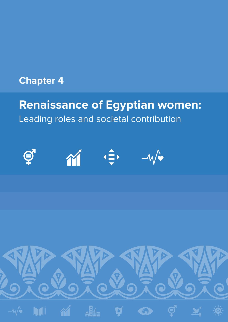# **Chapter 4**

# **Renaissance of Egyptian women:** Leading roles and societal contribution









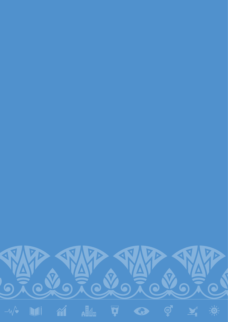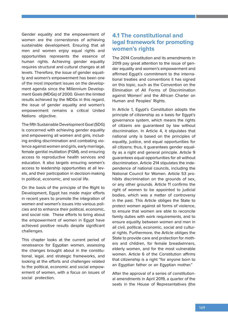Gender equality and the empowerment of women are the cornerstones of achieving sustainable development. Ensuring that all men and women enjoy equal rights and opportunities represents the essence of human rights. Achieving gender equality requires structural and cultural changes at all levels. Therefore, the issue of gender equality and women's empowerment has been one of the most important issues on the development agenda since the Millennium Development Goals (MDGs) of 2000. Given the limited results achieved by the MDGs in this regard, the issue of gender equality and women's empowerment remains a critical United Nations objective.

The fifth Sustainable Development Goal (SDG) is concerned with achieving gender equality and empowering all women and girls, including ending discrimination and combating violence against women and girls, early marriage, female genital mutilation (FGM), and ensuring access to reproductive health services and education. It also targets ensuring women's access to leadership opportunities at all levels, and their participation in decision-making in political, economic, and social life.

On the basis of the principle of the Right to Development, Egypt has made major efforts in recent years to promote the integration of women and women's issues into various policies and to enhance their political, economic, and social role. These efforts to bring about the empowerment of women in Egypt have achieved positive results despite significant challenges.

This chapter looks at the current period of renaissance for Egyptian women, assessing the changes brought about in the constitutional, legal, and strategic frameworks, and looking at the efforts and challenges related to the political, economic and social empowerment of women, with a focus on issues of social protection.

# **4.1 The constitutional and legal framework for promoting women's rights**

The 2014 Constitution and its amendments in 2019 pay great attention to the issue of gender equality and women's empowerment and affirmed Egypt's commitment to the international treaties and conventions it has signed on this topic, such as the Convention on the Elimination of All Forms of Discrimination against Women<sup>1</sup> and the African Charter on Human and Peoples' Rights.

In Article 1, Egypt's Constitution adopts the principle of citizenship as a basis for Egypt's governance system, which means the rights of citizens are guaranteed by law without discrimination. In Article 4, it stipulates that national unity is based on the principles of equality, justice, and equal opportunities for all citizens; thus, it guarantees gender equality as a right and general principle. Article 9 guarantees equal opportunities for all without discrimination. Article 214 stipulates the independence of national councils, including the National Council for Women. Article 53 prohibits discrimination on the grounds of sex, or any other grounds. Article 11 confirms the right of women to be appointed to judicial bodies, which was a matter of controversy in the past. This Article obliges the State to protect women against all forms of violence, to ensure that women are able to reconcile family duties with work requirements, and to ensure equality between women and men in all civil, political, economic, social and cultural rights. Furthermore, the Article obliges the State to provide care and protection for mothers and children, for female breadwinners, elderly women, and for the most vulnerable women. Article 6 of the Constitution affirms that citizenship is a right "for anyone born to an Egyptian father or an Egyptian mother."

After the approval of a series of constitutional amendments in April 2019, a quarter of the seats in the House of Representatives (the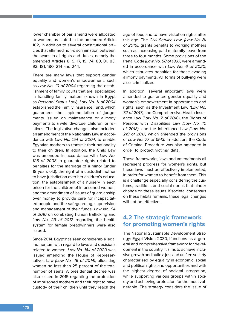lower chamber of parliament) were allocated to women, as stated in the amended Article 102, in addition to several constitutional articles that affirmed non-discrimination between the sexes in all rights and duties, namely the amended Articles 8, 9, 17, 19, 74, 80, 81, 83, 93, 181, 180, 214 and 244.

There are many laws that support gender equality and women's empowerment, such as Law No. 10 of 2004 regarding the establishment of family courts that are specialized in handling family matters (known in Egypt as Personal Status Law). Law No. 11 of 2004 established the Family Insurance Fund, which guarantees the implementation of judgements issued on maintenance or alimony payments to a wife, divorcee, children, or relatives. The legislative changes also included an amendment of the Nationality Law in accordance with Law No. 154 of 2004, to enable Egyptian mothers to transmit their nationality to their children. In addition, the Child Law was amended in accordance with Law No. 126 of 2008 to guarantee rights related to penalties for the marriage of a minor (under 18 years old), the right of a custodial mother to have jurisdiction over her children's education, the establishment of a nursery in each prison for the children of imprisoned women, and the amendment of issues of guardianship over money to provide care for incapacitated people and the safeguarding, supervision and management of their funds. Law No. 64 of 2010 on combating human trafficking and Law No. 23 of 2012 regarding the health system for female breadwinners were also issued.

Since 2014, Egypt has seen considerable legal momentum with regard to laws and decisions related to women. Law No. 144 of 2020 was issued amending the House of Representatives Law (Law No. 46 of 2014), allocating women no less than 25 percent of the total number of seats. A presidential decree was also issued in 2015 regarding the protection of imprisoned mothers and their right to have custody of their children until they reach the

age of four, and to have visitation rights after this age. The Civil Service Law, (Law No. 81 of 2016), grants benefits to working mothers such as increasing paid maternity leave from three to four months. Some provisions of the Penal Code (Law No. 58 of 1937) were amended in accordance with Law No. 6 of 2020, which stipulates penalties for those evading alimony payments. All forms of bullying were also criminalized.

In addition, several important laws were amended to guarantee gender equality and women's empowerment in opportunities and rights, such as the Investment Law *(Law No.*) 72 of 2017), the Comprehensive Health Insurance Law (Law No. 2 of 2018), the Rights of Persons with Disabilities Law (Law No. 10 of 2018), and the Inheritance Law (Law No. 219 of 2017) which amended the provisions of Law No. 77 of 1943. In addition, the Code of Criminal Procedure was also amended in order to protect victims' data.

These frameworks, laws and amendments all represent progress for women's rights, but these laws must be effectively implemented, in order for women to benefit from them. This is a challenge especially considering the customs, traditions and social norms that hinder change on these issues. If societal consensus on these habits remains, these legal changes will not be effective.

# **4.2 The strategic framework for promoting women's rights**

The National Sustainable Development Strategy: Egypt Vision 2030, ifunctions as a general and comprehensive framework for development in the country. It aims to achieve inclusive growth and build a just and unified society characterized by equality in economic, social and political rights and opportunities and with the highest degree of societal integration, while supporting various groups within society and achieving protection for the most vulnerable. The strategy considers the issue of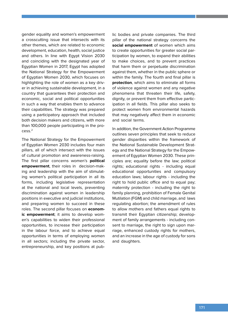gender equality and women's empowerment a crosscutting issue that intersects with its other themes, which are related to economic development, education, health, social justice and others. In line with Egypt Vision 2030 and coinciding with the designated year of Egyptian Women in 2017, Egypt has adopted the National Strategy for the Empowerment of Egyptian Women 2030, which focuses on highlighting the role of women as a key driver in achieving sustainable development, in a country that guarantees their protection and economic, social and political opportunities in such a way that enables them to advance their capabilities. The strategy was prepared using a participatory approach that included both decision makers and citizens, with more than 100,000 people participating in the process.2

The National Strategy for the Empowerment of Egyptian Women 2030 includes four main pillars, all of which intersect with the issues of cultural promotion and awareness-raising. The first pillar concerns women's **political empowerment**, their roles in decision-making and leadership with the aim of stimulating women's political participation in all its forms, including legislative representation at the national and local levels, preventing discrimination against women in leadership positions in executive and judicial institutions, and preparing women to succeed in these roles. The second pillar focuses on **economic empowerment**; it aims to develop women's capabilities to widen their professional opportunities, to increase their participation in the labour force, and to achieve equal opportunities in terms of employing women in all sectors; including the private sector, entrepreneurship, and key positions at pub-

lic bodies and private companies. The third pillar of the national strategy concerns the **social empowerment** of women which aims to create opportunities for greater social participation by women, to expand their abilities to make choices, and to prevent practices that harm them or perpetuate discrimination against them, whether in the public sphere or within the family. The fourth and final pillar is **protection**, which aims to eliminate all forms of violence against women and any negative phenomena that threaten their life, safety, dignity, or prevent them from effective participation in all fields. This pillar also seeks to protect women from environmental hazards that may negatively affect them in economic and social terms.

In addition, the Government Action Programme outlines seven principles that seek to reduce gender disparities within the framework of the National Sustainable Development Strategy and the National Strategy for the Empowerment of Egyptian Women 2030. These principles are; equality before the law; political rights; educational rights - including equal educational opportunities and compulsory education laws; labour rights - including the right to hold public office and to equal pay; maternity protection - including the right to family planning, prohibition of Female Genital Mutilation (FGM) and child marriage, and laws regulating abortion; the amendment of rules to allow mothers and fathers equal rights to transmit their Egyptian citizenship; development of family arrangements - including consent to marriage, the right to sign upon marriage, enhanced custody rights for mothers, and an increase in the age of custody for sons and daughters.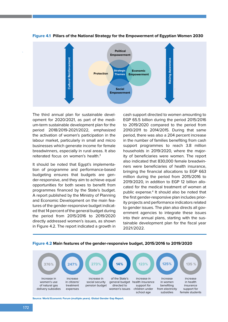



The third annual plan for sustainable development for 2020/2021, as part of the medium-term sustainable development plan for the period 2018/2019-2021/2022, emphasized the activation of women's participation in the labour market, particularly in small and micro businesses which generate income for female breadwinners, especially in rural areas. It also reiterated focus on women's health.<sup>3</sup>

It should be noted that Egypt's implementation of programme and performance-based budgeting ensures that budgets are gender-responsive, and they aim to achieve equal opportunities for both sexes to benefit from programmes financed by the State's budget. A report published by the Ministry of Planning and Economic Development on the main features of the gender-responsive budget indicated that 14 percent of the general budget during the period from 2015/2016 to 2019/2020 directly addressed women's issues, as shown in Figure 4.2. The report indicated a growth in cash support directed to women amounting to EGP 65.5 billion during the period 2015/2016 to 2019/2020 compared to the period from 2010/2011 to 2014/2015. During that same period, there was also a 204 percent increase in the number of families benefiting from cash support programmes to reach 3.8 million households in 2019/2020, where the majority of beneficiaries were women. The report also indicated that 830,000 female breadwinners were beneficiaries of health insurance, bringing the financial allocations to EGP 663 million during the period from 2015/2016 to 2019/2020, in addition to EGP 12 billion allocated for the medical treatment of women at public expense.<sup>4</sup> It should also be noted that the first gender-responsive plan includes priority projects and performance indicators related to gender issues. The plan also directs all government agencies to integrate these issues into their annual plans, starting with the sustainable development plan for the fiscal year 2021/2022.





**Source: World Economic Forum (multiple years). Global Gender Gap Report.**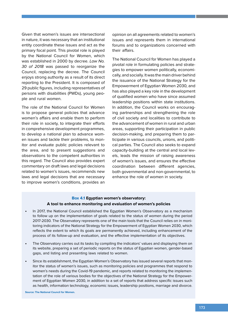Given that women's issues are intersectional in nature, it was necessary that an institutional entity coordinate these issues and act as the primary focal point. This pivotal role is played by the National Council for Women, which was established in 2000 by decree. Law No. 30 of 2018 was passed to reorganize the Council, replacing the decree. The Council enjoys strong authority as a result of its direct reporting to the President. It is composed of 29 public figures, including representatives of persons with disabilities (PWDs), young people and rural women.

The role of the National Council for Women is to propose general policies that advance women's affairs and enable them to perform their role in society, to integrate their efforts in comprehensive development programmes, to develop a national plan to advance women issues and tackle their problems, to monitor and evaluate public policies relevant to the area, and to present suggestions and observations to the competent authorities in this regard. The Council also provides expert commentary on draft laws and legal decisions related to women's issues, recommends new laws and legal decisions that are necessary to improve women's conditions, provides an

opinion on all agreements related to women's issues and represents them in international forums and to organizations concerned with their affairs.

The National Council for Women has played a pivotal role in formulating policies and strategies to empower women politically, economically, and socially. It was the main driver behind the issuance of the National Strategy for the Empowerment of Egyptian Women 2030, and has also played a key role in the development of qualified women who have since assumed leadership positions within state institutions. In addition, the Council works on encouraging partnerships and strengthening the role of civil society and localities to contribute to the advancement of women in rural and urban areas, supporting their participation in public decision-making, and preparing them to participate in various councils, unions, and political parties. The Council also seeks to expand capacity-building at the central and local levels, leads the mission of raising awareness of women's issues, and ensures the effective coordination between different agencies, both governmental and non-governmental, to enhance the role of women in society.

# **Box 4.1 Egyptian women's observatory: A tool to enhance monitoring and evaluation of women's policies**

- **•** In 2017, the National Council established the Egyptian Women's Observatory as a mechanism to follow up on the implementation of goals related to the status of women during the period 2017-2030. The Observatory represents one of the main tools that the Council relies on in monitoring indicators of the National Strategy for the Empowerment of Egyptian Women 2030, which reflects the extent to which its goals are permanently achieved, including enhancement of the process of its follow-up and evaluation, and the effective implementation of its objectives.
- **•** The Observatory carries out its tasks by compiling the indicators' values and displaying them on its website, preparing a set of periodic reports on the status of Egyptian women, gender-based gaps, and listing and presenting laws related to women.
- **•** Since its establishment, the Egyptian Women's Observatory has issued several reports that monitor the status of women's issues, such as monitoring policies and programmes that respond to women's needs during the Covid-19 pandemic, and reports related to monitoring the implementation of the role of various bodies for the objectives of the National Strategy for the Empowerment of Egyptian Women 2030, in addition to a set of reports that address specific issues such as health, information technology, economic issues, leadership positions, marriage and divorce.

**Source: The National Council for Women.**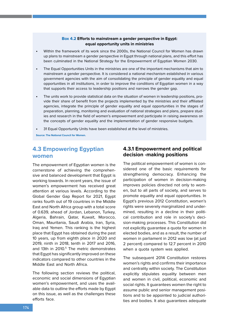## **Box 4.2 Efforts to mainstream a gender perspective in Egypt: equal opportunity units in ministries**

- **•** Within the framework of its work since the 2000s, the National Council for Women has drawn up plans to mainstream a gender perspective in Egypt through national plans, and this effort has been culminated in the National Strategy for the Empowerment of Egyptian Women 2030.
- **•** The Equal Opportunities Units in the ministries are one of the important mechanisms that aim to mainstream a gender perspective. It is considered a national mechanism established in various government agencies with the aim of consolidating the principle of gender equality and equal opportunities in all institutions, in order to improve the conditions of Egyptian women in a way that supports their access to leadership positions and narrows the gender gap.
- **•** The units work to provide statistical data on the situation of women in leadership positions, provide their share of benefit from the projects implemented by the ministries and their affiliated agencies, integrate the principle of gender equality and equal opportunities in the stages of preparation, planning, monitoring and evaluation of national strategies and plans, prepare studies and research in the field of women's empowerment and participate in raising awareness on the concepts of gender equality and the implementation of gender responsive budgets.
	- **•** 31 Equal Opportunity Units have been established at the level of ministries.

**Source: The National Council for Women.**

# **4.3 Empowering Egyptian women**

The empowerment of Egyptian women is the cornerstone of achieving the comprehensive and balanced development that Egypt is working towards. In recent years, the issue of women's empowerment has received great attention at various levels. According to the Global Gender Gap Report for 2021, Egypt ranks fourth out of 19 countries in the Middle East and North Africa group with a total score of 0.639, ahead of Jordan, Lebanon, Turkey, Algeria, Bahrain, Qatar, Kuwait, Morocco, Oman, Mauritania, Saudi Arabia, Iran, Syria, Iraq and Yemen. This ranking is the highest place that Egypt has obtained during the past 10 years, up from eighth place in 2020 and 2019, ninth in 2018, tenth in 2017 and 2016, and 13th in 2010.<sup>5</sup> The metric demonstrates that Egypt has significantly improved on these indicators compared to other countries in the Middle East and North Africa.

The following section reviews the political, economic and social dimensions of Egyptian women's empowerment, and uses the available data to outline the efforts made by Egypt on this issue, as well as the challenges these efforts face.

# **4.3.1 Empowerment and political decision -making positions**

The political empowerment of women is considered one of the basic requirements for strengthening democracy. Enhancing the participation of women in decision-making improves policies directed not only to women, but to all parts of society, and serves to promote equality and equal opportunities. In Egypt's previous 2012 Constitution, women's rights were severely marginalized and undermined, resulting in a decline in their political contribution and role in society's decision-making processes. This Constitution did not explicitly guarantee a quota for women in elected bodies, and as a result, the number of women in parliament in 2012 was low (at just 2 percent) compared to 12.7 percent in 2010 when a quota system was applied.

The subsequent 2014 Constitution restores women's rights and confirms their importance and centrality within society. The Constitution explicitly stipulates equality between men and women in civil, political, economic and social rights. It guarantees women the right to assume public and senior management positions and to be appointed to judicial authorities and bodies. It also guarantees adequate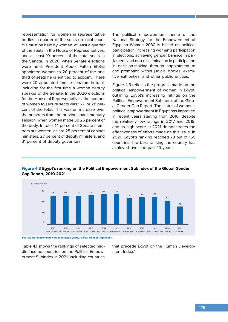representation for women in representative bodies: a quarter of the seats on local councils must be held by women, at least a quarter of the seats in the House of Representatives, and at least 10 percent of the total seats in the Senate. In 2020, when Senate elections were held, President Abdel Fattah El-Sisi appointed women to 20 percent of the one third of seats he is entitled to appoint. There were 20 appointed female senators in total, including for the first time a woman deputy speaker of the Senate. In the 2020 elections for the House of Representatives, the number of women to secure seats was 162, or 28 percent of the total. This was an increase over the numbers from the previous parliamentary session, when women made up 25 percent of the body. In total, 14 percent of Senate members are women, as are 25 percent of cabinet ministers, 27 percent of deputy ministers, and 31 percent of deputy governors.

The political empowerment theme of the National Strategy for the Empowerment of Egyptian Women 2030 is based on political participation, increasing women's participation in elections, achieving gender balance in parliament, and non-discrimination in participation in decision-making through appointment to and promotion within judicial bodies, executive authorities, and other public entities.

Figure 4.3 reflects the progress made on the political empowerment of women in Egypt, outlining Egypt's increasing ratings on the Political Empowerment Subindex of the Global Gender Gap Report. The status of women's political empowerment in Egypt has improved in recent years starting from 2016, despite the relatively low ratings in 2017 and 2018, and its high score in 2021 demonstrates the effectiveness of efforts made on this issue. In 2021, Egypt's ranking reached 78 out of 156 countries, the best ranking the country has achieved over the past 10 years.



# **Figure 4.3 Egypt's ranking on the Political Empowerment Subindex of the Global Gender Gap Report, 2010-2021**

**Source: World Economic Forum (multiple years). Global Gender Gap Report.**

Table 4.1 shows the rankings of selected middle-income countries on the Political Empowerment Subindex in 2021, including countries

that precede Egypt on the Human Development Index.<sup>6</sup>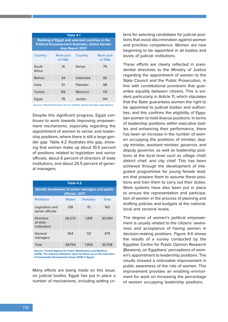| Table 4.1                                                                                                                        |                             |                |                             |  |  |  |  |  |
|----------------------------------------------------------------------------------------------------------------------------------|-----------------------------|----------------|-----------------------------|--|--|--|--|--|
| Ranking of Egypt and selected countries in the<br><b>Political Empowerment Subindex, Global Gender</b><br><b>Gap Report 2021</b> |                             |                |                             |  |  |  |  |  |
| <b>Country</b>                                                                                                                   | <b>Rank (out</b><br>of 156) | <b>Country</b> | <b>Rank (out</b><br>of 156) |  |  |  |  |  |
| South<br>Africa                                                                                                                  | 14                          | Kenya          | 79                          |  |  |  |  |  |
| <b>Bolivia</b>                                                                                                                   | 34                          | Indonesia      | 92                          |  |  |  |  |  |
| India                                                                                                                            | 51                          | Pakistan       | 98                          |  |  |  |  |  |
| Tunisia                                                                                                                          | 69                          | Morocco        | 113                         |  |  |  |  |  |
| Eqypt                                                                                                                            | 78                          | Jordan         | 144                         |  |  |  |  |  |

**Source: World Economic Forum (2021). Global Gender Gap Report.**

Despite this significant progress, Egypt continues to work towards improving empowerment mechanisms, especially regarding the appointment of women to senior and leadership positions, where there is still a large gender gap. Table 4.2 illustrates this gap, showing that women make up about 10.5 percent of positions related to legislation and senior officials, about 6 percent of directors of state institutions, and about 25.5 percent of general managers.

| Table 4.2                                                         |              |                |              |  |  |  |  |  |
|-------------------------------------------------------------------|--------------|----------------|--------------|--|--|--|--|--|
| Gender breakdown of senior managers and public<br>officials, 2017 |              |                |              |  |  |  |  |  |
| <b>Positions</b>                                                  | <b>Males</b> | <b>Females</b> | <b>Total</b> |  |  |  |  |  |
| Legislators and<br>senior officials                               | 128          | 15             | 143          |  |  |  |  |  |
| Directors<br>of state<br>institutions                             | 28.272       | 1,818          | 30,090       |  |  |  |  |  |
| General<br>managers                                               | 354          | 121            | 475          |  |  |  |  |  |
| Total                                                             | 28.754       | 1.954          | 30.708       |  |  |  |  |  |

**Source: Central Agency for Public Mobilization and Statistics (2019). The national statistical report to follow up on the indicators of Sustainable Development Goals 2030 in Egypt.**

Many efforts are being made on this issue; on judicial bodies, Egypt has put in place a number of mechanisms, including setting criteria for selecting candidates for judicial positions that avoid discrimination against women and prioritize competence. Women are now beginning to be appointed in all bodies and levels of judicial institutions.

These efforts are clearly reflected in presidential directives to the Ministry of Justice regarding the appointment of women to the State Council and the Public Prosecution, in line with constitutional provisions that guarantee equality between citizens. This is evident particularly in Article 11, which stipulates that the State guarantees women the right to be appointed to judicial bodies and authorities, and this confirms the eligibility of Egyptian women to hold diverse positions. In terms of leadership positions within executive bodies and enhancing their performance, there has been an increase in the number of women occupying the positions of minister, deputy minister, assistant minister, governor, and deputy governor, as well as leadership positions at the local level such as village chief, district chief, and city chief. This has been achieved through the development of integrated programmes for young female leaders that prepare them to assume these positions and train them to carry out their duties. Work systems have also been put in place to ensure the representation and participation of women in the process of planning and drafting policies and budgets at the national, local and sectoral levels.

The degree of women's political empowerment is usually related to the citizens' awareness and acceptance of having women in decision-making positions. Figure 4.4 shows the results of a survey conducted by the Egyptian Centre for Public Opinion Research (Baseera), on Egyptians' perceptions of women's appointment to leadership positions. The results showed a noticeable improvement in public awareness of the role of women. This improvement provides an enabling environment for work on increasing the percentage of women occupying leadership positions.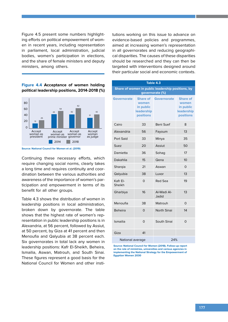Figure 4.5 present some numbers highlighting efforts on political empowerment of women in recent years, including representation in parliament, local administration, judicial bodies, women's participation in elections, and the share of female ministers and deputy ministers, among others.

tutions working on this issue to advance on evidence-based policies and programmes, aimed at increasing women's representation in all governorates and reducing geographical disparities. The causes of these disparities should be researched and they can then be targeted with interventions designed around their particular social and economic contexts.

# **Figure 4.4 Acceptance of women holding political leadership positions, 2014-2018 (%)**



**Source: National Council for Women et al. (2019)**

Continuing these necessary efforts, which require changing social norms, clearly takes a long time and requires continuity and coordination between the various authorities and awareness of the importance of women's participation and empowerment in terms of its benefit for all other groups.

Table 4.3 shows the distribution of women in leadership positions in local administration, broken down by governorate. The table shows that the highest rate of women's representation in public leadership positions is in Alexandria, at 56 percent, followed by Assiut, at 50 percent, by Giza at 41 percent and then Menoufia and Qalyubia at 38 percent each. Six governorates in total lack any women in leadership positions: Kafr El-Sheikh, Beheira, Ismailia, Aswan, Matrouh, and South Sinai. These figures represent a good basis for the National Council for Women and other insti-

|                    | Table 4.3                                                 |                                                                      |                                                                  |  |  |  |  |  |  |  |
|--------------------|-----------------------------------------------------------|----------------------------------------------------------------------|------------------------------------------------------------------|--|--|--|--|--|--|--|
|                    |                                                           | Share of women in public leadership positions, by<br>governorate (%) |                                                                  |  |  |  |  |  |  |  |
| <b>Governorate</b> | Share of<br>women<br>in public<br>leadership<br>positions | Governorate                                                          | <b>Share of</b><br>women<br>in public<br>leadership<br>positions |  |  |  |  |  |  |  |
| Cairo              | 33                                                        | Beni Suef                                                            | 8                                                                |  |  |  |  |  |  |  |
| Alexandria         | 56                                                        | Fayoum                                                               | 13                                                               |  |  |  |  |  |  |  |
| Port Said          | 33                                                        | Minya                                                                | 35                                                               |  |  |  |  |  |  |  |
| Suez               | 20                                                        | Assiut                                                               | 50                                                               |  |  |  |  |  |  |  |
| Damietta           | 36                                                        | Sohag                                                                | 17                                                               |  |  |  |  |  |  |  |
| Dakahlia           | 15                                                        | Qena                                                                 | 10                                                               |  |  |  |  |  |  |  |
| Sharqia            | 21                                                        | Aswan                                                                | $\Omega$                                                         |  |  |  |  |  |  |  |
| Qalyubia           | 38                                                        | Luxor                                                                | 13                                                               |  |  |  |  |  |  |  |
| Kafr El-<br>Sheikh | $\Omega$                                                  | <b>Red Sea</b>                                                       | 19                                                               |  |  |  |  |  |  |  |
| Gharbiya           | 16                                                        | Al-Wadi Al-<br>Jadid                                                 | 13                                                               |  |  |  |  |  |  |  |
| Menoufia           | 38                                                        | Matrouh                                                              | $\Omega$                                                         |  |  |  |  |  |  |  |
| <b>Beheira</b>     | $\Omega$                                                  | North Sinai                                                          | 14                                                               |  |  |  |  |  |  |  |
| Ismailia           | $\Omega$                                                  | South Sinai                                                          | O                                                                |  |  |  |  |  |  |  |
| Giza               | 41                                                        |                                                                      |                                                                  |  |  |  |  |  |  |  |
| National average   |                                                           | 24%                                                                  |                                                                  |  |  |  |  |  |  |  |

**Source: National Council for Women (2018). Follow-up report on the role of ministries, universities and various agencies in implementing the National Strategy for the Empowerment of Egyptian Women 2030**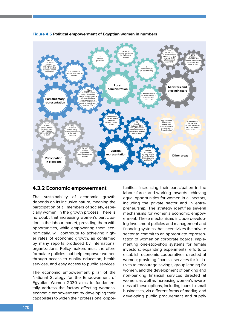

#### **Figure 4.5 Political empowerment of Egyptian women in numbers**

# **4.3.2 Economic empowerment**

The sustainability of economic growth depends on its inclusive nature, meaning the participation of all members of society, especially women, in the growth process. There is no doubt that increasing women's participation in the labour market, providing them with opportunities, while empowering them economically, will contribute to achieving higher rates of economic growth, as confirmed by many reports produced by international organizations. Policy makers must therefore formulate policies that help empower women through access to quality education, health services, and easy access to public services.

The economic empowerment pillar of the National Strategy for the Empowerment of Egyptian Women 2030 aims to fundamentally address the factors affecting womens' economic empowerment by developing their capabilities to widen their professional opportunities, increasing their participation in the labour force, and working towards achieving equal opportunities for women in all sectors, including the private sector and in entrepreneurship. The strategy identifies several mechanisms for women's economic empowerment. These mechanisms include developing investment policies and management and financing systems that incentivizes the private sector to commit to an appropriate representation of women on corporate boards; implementing one-stop-shop systems for female investors; expanding experimental efforts to establish economic cooperatives directed at women; providing financial services for initiatives to encourage savings, group lending for women, and the development of banking and non-banking financial services directed at women, as well as increasing women's awareness of these options, including loans to small businesses, via different forms of media; and developing public procurement and supply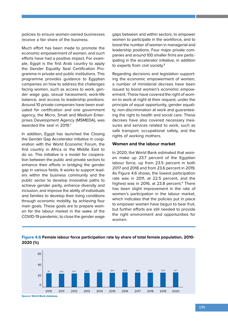policies to ensure women-owned businesses receive a fair share of the business.

Much effort has been made to promote the economic empowerment of women, and such efforts have had a positive impact. For example, Egypt is the first Arab country to apply the Gender Equality Seal Certification Programme in private and public institutions. This programme provides guidance to Egyptian companies on how to address the challenges facing women, such as access to work, gender wage gap, sexual harassment, work-life balance, and access to leadership positions. Around 10 private companies have been evaluated for certification and one government agency, the Micro, Small and Medium Enterprises Development Agency (MSMEDA), was awarded the seal in 2019.<sup>7</sup>

In addition, Egypt has launched the Closing the Gender Gap Accelerator initiative in cooperation with the World Economic Forum, the first country in Africa or the Middle East to do so. This initiative is a model for cooperation between the public and private sectors to enhance their efforts in bridging the gender gap in various fields. It works to support leaders within the business community and the public sector to develop innovative paths to achieve gender parity, enhance diversity and inclusion, and improve the ability of individuals and families to develop their living conditions through economic mobility, by achieving four main goals. These goals are to prepare women for the labour market in the wake of the COVID-19 pandemic, to close the gender wage

gaps between and within sectors, to empower women to participate in the workforce, and to boost the number of women in managerial and leadership positions. Four major private companies and around 100 smaller firms are participating in the accelerator initiative, in addition to experts from civil society.<sup>8</sup>

Regarding decisions and legislation supporting the economic empowerment of women, a number of ministerial decrees have been issued to boost women's economic empowerment. These have covered the right of women to work at night at their request, under the principle of equal opportunity, gender equality, non-discrimination at work and guaranteeing the right to health and social care. These decrees have also covered necessary measures and services related to work, such as safe transport, occupational safety, and the rights of working mothers.

# **Women and the labour market**

In 2020, the World Bank estimated that women make up 23.7 percent of the Egyptian labour force, up from 23.5 percent in both 2017 and 2018 and from 23.6 percent in 2019. As Figure 4.6 shows, the lowest participation rate was in 2011, at 22.5 percent, and the highest was in 2016, at 23.8 percent.<sup>9</sup> There has been slight improvement in the rate of women's participation in the labour market, which indicates that the policies put in place to empower women have begun to bear fruit, but further efforts are still needed to provide the right environment and opportunities for women.





**Source: World Bank database.**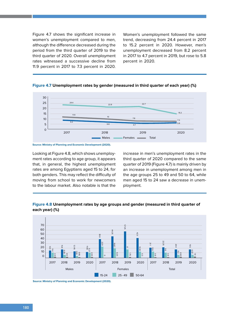Figure 4.7 shows the significant increase in women's unemployment compared to men, although the difference decreased during the period from the third quarter of 2019 to the third quarter of 2020. Overall unemployment rates witnessed a successive decline from 11.9 percent in 2017 to 7.3 percent in 2020.

Women's unemployment followed the same trend, decreasing from 24.4 percent in 2017 to 15.2 percent in 2020. However, men's unemployment decreased from 8.2 percent in 2017 to 4.7 percent in 2019, but rose to 5.8 percent in 2020.





**Source: Ministry of Planning and Economic Development (2020).**

Looking at Figure 4.8, which shows unemployment rates according to age group, it appears that, in general, the highest unemployment rates are among Egyptians aged 15 to 24, for both genders. This may reflect the difficulty of moving from school to work for newcomers to the labour market. Also notable is that the increase in men's unemployment rates in the third quarter of 2020 compared to the same quarter of 2019 (Figure 4.7) is mainly driven by an increase in unemployment among men in the age groups 25 to 49 and 50 to 64, while men aged 15 to 24 saw a decrease in unemployment.



**Figure 4.8 Unemployment rates by age groups and gender (measured in third quarter of each year) (%)**

**Source: Ministry of Planning and Economic Development (2020).**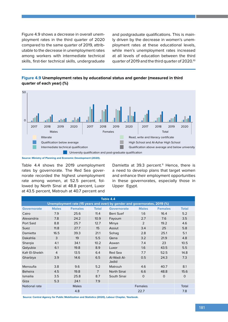Figure 4.9 shows a decrease in overall unemployment rates in the third quarter of 2020 compared to the same quarter of 2019, attributable to the decrease in unemployment rates among workers with intermediate technical skills, first-tier technical skills, undergraduate

and postgraduate qualifications. This is mainly driven by the decrease in women's unemployment rates at these educational levels, while men's unemployment rates increased at all levels of education between the third quarter of 2019 and the third quarter of 2020.10

**Figure 4.9 Unemployment rates by educational status and gender (measured in third quarter of each year) (%)**



**Source: Ministry of Planning and Economic Development (2020).**

Table 4.4 shows the 2019 unemployment rates by governorate. The Red Sea governorate recorded the highest unemployment rate among women, at 52.5 percent, followed by North Sinai at 48.8 percent, Luxor at 43.5 percent, Matrouh at 40.7 percent and

Damietta at 39.3 percent.<sup>11</sup> Hence, there is a need to develop plans that target women and enhance their employment opportunities in these governorates, especially those in Upper Egypt.

|                    | Table 4.4      |                |                |                                                                            |                |                |              |  |  |  |
|--------------------|----------------|----------------|----------------|----------------------------------------------------------------------------|----------------|----------------|--------------|--|--|--|
|                    |                |                |                | Unemployment rate (15 years and over) by gender and governorates, 2019 (%) |                |                |              |  |  |  |
| <b>Governorate</b> | <b>Males</b>   | <b>Females</b> | <b>Total</b>   | Governorate                                                                | <b>Males</b>   | <b>Females</b> | <b>Total</b> |  |  |  |
| Cairo              | 7.9            | 25.6           | 11.4           | <b>Beni Suef</b>                                                           | 1.6            | 16.4           | 5.2          |  |  |  |
| Alexandria         | 7.8            | 24.2           | 10.9           | Fayoum                                                                     | 2.7            | 7.6            | 3.5          |  |  |  |
| <b>Port Said</b>   | 8.8            | 25.7           | 12.7           | Minya                                                                      | $\overline{2}$ | 19.2           | 4.6          |  |  |  |
| <b>Suez</b>        | 11.8           | 27.7           | 15             | Assiut                                                                     | 3.4            | 25             | 5.8          |  |  |  |
| Damietta           | 16.5           | 39.3           | 21.1           | Sohag                                                                      | 2.8            | 25.1           | 5.1          |  |  |  |
| Dakahlia           | 3              | 19             | 5.5            | Qena                                                                       | 3.2            | 21.9           | 4.8          |  |  |  |
| Sharqia            | 4.1            | 34.1           | 10.2           | Aswan                                                                      | 7.4            | 23             | 10.5         |  |  |  |
| Qalyubia           | 6.1            | 19.8           | 8.9            | Luxor                                                                      | 1.6            | 43.5           | 5.5          |  |  |  |
| Kafr El-Sheikh     | $\overline{4}$ | 13.5           | 6.4            | <b>Red Sea</b>                                                             | 7.7            | 52.5           | 14.8         |  |  |  |
| Gharbiya           | 3.9            | 14.6           | 6.5            | Al-Wadi Al-<br>Jadid                                                       | 0.5            | 24.3           | 7.3          |  |  |  |
| Menoufia           | 3.8            | 9.6            | 5.2            | Matrouh                                                                    | 4.6            | 40.7           | 8.1          |  |  |  |
| <b>Beheira</b>     | 4.5            | 19.8           | $\overline{7}$ | North Sinai                                                                | 6.6            | 48.8           | 15.6         |  |  |  |
| <b>Ismailia</b>    | 3.5            | 25.8           | 8.7            | South Sinai                                                                | $\Omega$       | $\Omega$       | $\Omega$     |  |  |  |
| Giza               | 5.3            | 24.1           | 7.9            |                                                                            |                |                |              |  |  |  |
| National rate      |                | <b>Males</b>   |                |                                                                            | <b>Females</b> |                | Total        |  |  |  |
|                    |                | 4.8            |                |                                                                            | 22.7           |                | 7.8          |  |  |  |

**Source: Central Agency for Public Mobilization and Statistics (2020), Labour Chapter, Yearbook.**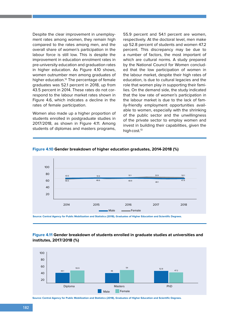Despite the clear improvement in unemployment rates among women, they remain high compared to the rates among men, and the overall share of women's participation in the labour force is still low. This is despite the improvement in education enrolment rates in pre-university education and graduation rates in higher education. As Figure 4.10 shows, women outnumber men among graduates of higher education.<sup>12</sup> The percentage of female graduates was 52.1 percent in 2018, up from 43.5 percent in 2014. These rates do not correspond to the labour market rates shown in Figure 4.6, which indicates a decline in the rates of female participation.

Women also made up a higher proportion of students enrolled in postgraduate studies in 2017/2018, as shown in Figure 4.11. Among students of diplomas and masters programs,

55.9 percent and 54.1 percent are women, respectively. At the doctoral level, men make up 52.8 percent of students and women 47.2 percent. This discrepancy may be due to a number of factors, the most important of which are cultural norms. A study prepared by the National Council for Women concluded that the low participation of women in the labour market, despite their high rates of education, is due to cultural legacies and the role that women play in supporting their families. On the demand side, the study indicated that the low rate of women's participation in the labour market is due to the lack of family-friendly employment opportunities available to women, especially with the shrinking of the public sector and the unwillingness of the private sector to employ women and invest in building their capabilities, given the high cost.<sup>13</sup>



#### **Figure 4.10 Gender breakdown of higher education graduates, 2014-2018 (%)**

## **Figure 4.11 Gender breakdown of students enrolled in graduate studies at universities and institutes, 2017/2018 (%)**



**Source: Central Agency for Public Mobilization and Statistics (2018), Graduates of Higher Education and Scientific Degrees.**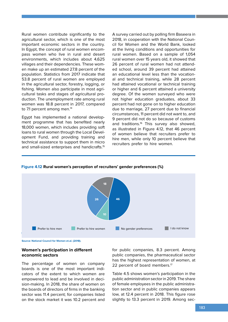Rural women contribute significantly to the agricultural sector, which is one of the most important economic sectors in the country. In Egypt, the concept of rural women encompass women who live in rural and desert environments, which includes about 4,625 villages and their dependencies. These women make up an estimated 27.8 percent of the population. Statistics from 2017 indicate that 53.8 percent of rural women are employed in the agricultural sector, forestry, logging, or fishing. Women also participate in most agricultural tasks and stages of agricultural production. The unemployment rate among rural women was 18.8 percent in 2017, compared to 7.1 percent among men.<sup>14</sup>

Egypt has implemented a national development programme that has benefited nearly 18,000 women, which includes providing soft loans to rural women through the Local Development Fund, and providing training and technical assistance to support them in micro and small-sized enterprises and handicrafts.<sup>15</sup>

A survey carried out by polling firm Baseera in 2018, in cooperation with the National Council for Women and the World Bank, looked at the living conditions and opportunities for rural women. Based on a sample of 1,054 rural women over 15 years old, it showed that 26 percent of rural women had not attended school, around 39 percent had attained an educational level less than the vocational and technical training, while 28 percent had attained vocational or technical training or higher and 6 percent attained a university degree. Of the women surveyed who were not higher education graduates, about 33 percent had not gone on to higher education due to marriage, 27 percent due to financial circumstances, 11 percent did not want to, and 9 percent did not do so because of customs and traditions.<sup>16</sup> This survey also showed, as illustrated in Figure 4.12, that 46 percent of women believe that recruiters prefer to hire men, while only 10 percent believe that recruiters prefer to hire women.



#### **Figure 4.12 Rural women's perception of recruiters' gender preferences (%)**

**Source: National Council for Women et.al. (2018).**

## **Women's participation in different economic sectors**

The percentage of women on company boards is one of the most important indicators of the extent to which women are empowered to lead and be involved in decision-making. In 2018, the share of women on the boards of directors of firms in the banking sector was 11.4 percent; for companies listed on the stock market it was 10.2 percent and

for public companies, 8.3 percent. Among public companies, the pharmaceutical sector has the highest representation of women, at 22 percent of board members.<sup>17</sup>

Table 4.5 shows women's participation in the public administration sector in 2019. The share of female employees in the public administration sector and in public companies appears low, at 12.4 percent in 2018. This figure rose slightly to 13.3 percent in 2019. Among sec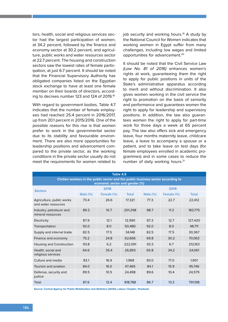tors, health, social and religious services sector had the largest participation of women, at 34.2 percent, followed by the finance and economy sector at 30.2 percent, and agriculture, public works and water resources sector at 22.7 percent. The housing and construction sectors saw the lowest rates of female participation, at just 6.7 percent. It should be noted that the Financial Supervisory Authority has obligated companies listed on the Egyptian stock exchange to have at least one female member on their boards of directors, according to decrees number 123 and 124 of 2019.<sup>18</sup>

With regard to government bodies, Table 4.7 indicates that the number of female employees had reached 25.4 percent in 2016/2017, up from 20.1 percent in 2015/2016. One of the possible reasons for this rise is that women prefer to work in the governmental sector due to its stability and favourable environment. There are also more opportunities for leadership positions and advancement compared to the private sector, as the working conditions in the private sector usually do not meet the requirements for women related to job security and working hours.<sup>19</sup> A study by the National Council for Women indicates that working women in Egypt suffer from many challenges, including low wages and limited opportunities for advancement.20

It should be noted that the Civil Service Law (Law No. 81 of 2016) enhances women's rights at work, guaranteeing them the right to apply for public positions in units of the State's administrative apparatus according to merit and without discrimination. It also gives women working in the civil service the right to promotion on the basis of seniority and performance and guarantees women the right to apply for leadership and supervisory positions. In addition, the law also guarantees women the right to apply for part-time work for three days a week at 65 percent pay. The law also offers sick and emergency leave, four months maternity leave, childcare leave, a leave to accompany a spouse or a patient, and to take leave on test days (for female employees enrolled in academic programmes) and in some cases to reduce the number of daily working hours.<sup>21</sup>

| Table 4.5                                                                                                           |              |            |              |              |            |              |  |  |  |
|---------------------------------------------------------------------------------------------------------------------|--------------|------------|--------------|--------------|------------|--------------|--|--|--|
| Civilian workers in the public sector and the public business sector according to<br>economic sector and gender (%) |              |            |              |              |            |              |  |  |  |
|                                                                                                                     |              | 2018       |              |              | 2019       |              |  |  |  |
| <b>Sectors</b>                                                                                                      |              |            |              |              |            |              |  |  |  |
|                                                                                                                     | Male $(\% )$ | Female (%) | <b>Total</b> | Male $(\% )$ | Female (%) | <b>Total</b> |  |  |  |
| Agriculture, public works<br>and water resources                                                                    | 73.4         | 26.6       | 17,321       | 77.3         | 22.7       | 22,412       |  |  |  |
| Industry, petroleum and<br>mineral resources                                                                        | 89.3         | 10.7       | 201,298      | 88.7         | 11.3       | 183.775      |  |  |  |
| Electricity                                                                                                         | 87.9         | 12.1       | 12,990       | 87.3         | 12.7       | 127.420      |  |  |  |
| Transportation                                                                                                      | 92.0         | 8.0        | 50,480       | 92.0         | 8.0        | 48.711       |  |  |  |
| Supply and internal trade                                                                                           | 82.5         | 17.5       | 34.148       | 82.5         | 17.5       | 30,367       |  |  |  |
| Finance and economy                                                                                                 | 75.2         | 24.8       | 62,666       | 69.8         | 30.2       | 70,063       |  |  |  |
| <b>Housing and Construction</b>                                                                                     | 93.8         | 6.2        | 222,091      | 93.3         | 6.7        | 212,163      |  |  |  |
| Health, social and<br>religious services                                                                            | 64.6         | 35.4       | 26.893       | 65.8         | 34.2       | 24.061       |  |  |  |
| Culture and media                                                                                                   | 83.1         | 16.9       | 1.968        | 83.0         | 17.0       | 1.901        |  |  |  |
| Tourism and aviation                                                                                                | 84.0         | 16.0       | 47,465       | 84.1         | 15.9       | 45,746       |  |  |  |
| Defense, security and<br>justice                                                                                    | 89.5         | 10.5       | 24,498       | 89.6         | 10.4       | 24,579       |  |  |  |
| Total                                                                                                               | 87.6         | 12.4       | 818,788      | 86.7         | 13.3       | 791.198      |  |  |  |

**Source: Central Agency for Public Mobilization and Statistics (2020), Labour Chapter, Yearbook.**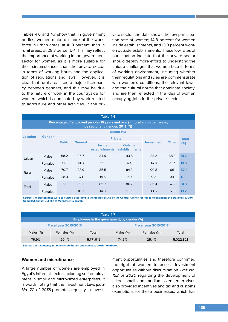Tables 4.6 and 4.7 show that, in government bodies, women make up more of the workforce in urban areas, at 41.8 percent, than in rural areas, at 28.3 percent.<sup>22</sup> This may reflect the importance of working in the government sector for women, as it is more suitable for their circumstances than the private sector in terms of working hours and the application of regulations and laws. However, it is clear that rural areas see a major discrepancy between genders, and this may be due to the nature of work in the countryside for women, which is dominated by work related to agriculture and other activities. In the private sector, the data shows the low participation rate of women; 14.8 percent for women inside establishments, and 13.3 percent women outside establishments, These low rates of participation indicate that the private sector should deploy more efforts to understand the unique challenges that women face in terms of working environment, including whether their regulations and rules are commensurate with women's conditions, the relevant laws, and the cultural norms that dominate society, and are then reflected in the idea of women occupying jobs in the private sector.

| Table 4.6                                                                                                     |                |               |                |                                 |                                  |                   |              |              |  |  |
|---------------------------------------------------------------------------------------------------------------|----------------|---------------|----------------|---------------------------------|----------------------------------|-------------------|--------------|--------------|--|--|
| Percentage of employed people (15 years and over) in rural and urban areas,<br>by sector and gender, 2018 (%) |                |               |                |                                 |                                  |                   |              |              |  |  |
|                                                                                                               |                |               |                |                                 | Sector (%)                       |                   |              |              |  |  |
| Location                                                                                                      | <b>Gender</b>  |               |                |                                 | <b>Private</b>                   |                   |              | <b>Total</b> |  |  |
|                                                                                                               |                | <b>Public</b> | <b>General</b> | <b>Inside</b><br>establishments | <b>Outside</b><br>establishments | <b>Investment</b> | <b>Other</b> | (%)          |  |  |
| Urban                                                                                                         | <b>Males</b>   | 58.2          | 85.7           | 84.9                            | 93.6                             | 83.2              | 68.3         | 81.2         |  |  |
|                                                                                                               | <b>Females</b> | 41.8          | 14.3           | 15.1                            | 6.4                              | 16.8              | 31.7         | 18.8         |  |  |
| Rural                                                                                                         | <b>Males</b>   | 70.7          | 93.9           | 85.5                            | 84.3                             | 90.8              | 66           | 82.2         |  |  |
|                                                                                                               | Females        | 28.3          | 6.1            | 14.5                            | 15.7                             | 9.2               | 34           | 17.8         |  |  |
| Total                                                                                                         | <b>Males</b>   | 65            | 89.3           | 85.2                            | 86.7                             | 86.4              | 67.2         | 81.8         |  |  |
|                                                                                                               | <b>Females</b> | 35            | 10.7           | 14.8                            | 13.3                             | 13.6              | 32.8         | 18.2         |  |  |

**Source: The percentages were calculated according to the figures issued by the Central Agency for Public Mobilization and Statistics. (2019). Compiled Annual Bulletin of Manpower Research.** 

| Table 4.7                                  |                              |           |                              |             |           |  |  |  |  |
|--------------------------------------------|------------------------------|-----------|------------------------------|-------------|-----------|--|--|--|--|
| Employees in the government, by gender (%) |                              |           |                              |             |           |  |  |  |  |
|                                            | <b>Fiscal year 2015/2016</b> |           | <b>Fiscal year 2016/2017</b> |             |           |  |  |  |  |
| Males $(\%)$                               | Females (%)                  | Total     | Males (%)                    | Females (%) | Total     |  |  |  |  |
| 79.9%                                      | 20.1%                        | 5,771,915 | 74.6%                        | 25.4%       | 5,022,821 |  |  |  |  |

**Source: Central Agency for Public Mobilization and Statistics (2019). Yearbook.**

## **Women and microfinance**

A large number of women are employed in Egypt's informal sector, including self-employment in small and micro-sized enterprises. It is worth noting that the Investment Law, (Law No. 72 of 2017),promotes equality in invest-

ment opportunities and therefore confirmed the right of women to access investment opportunities without discrimination. Law No. 152 of 2020 regarding the development of micro, small and medium-sized enterprises also provided incentives and tax and customs exemptions for these businesses, which has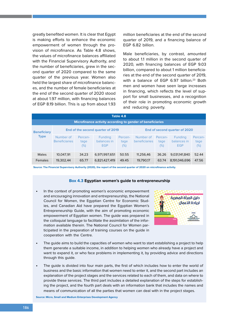greatly benefited women. It is clear that Egypt is making efforts to enhance the economic empowerment of women through the provision of microfinance. As Table 4.8 shows, the values of microfinance balances affiliated with the Financial Supervisory Authority, and the number of beneficiaries, grew in the second quarter of 2020 compared to the same quarter of the previous year. Women also held the largest share of microfinance balances, and the number of female beneficiaries at the end of the second quarter of 2020 stood at about 1.97 million, with financing balances of EGP 8.19 billion. This is up from about 1.93 million beneficiaries at the end of the second quarter of 2019, and a financing balance of EGP 6.82 billion.

Male beneficiaries, by contrast, amounted to about 1.1 million in the second quarter of 2020, with financing balances of EGP 9.03 billion, compared to about 1 million beneficiaries at the end of the second quarter of 2019, with a balance of EGP  $6.97$  billion.<sup>23</sup> Both men and women have seen large increases in financing, which reflects the level of support for small businesses, and a recognition of their role in promoting economic growth and reducing poverty.

|                                                            | Table 4.8                         |                           |                                             |                               |                            |                           |                                             |                           |  |  |
|------------------------------------------------------------|-----------------------------------|---------------------------|---------------------------------------------|-------------------------------|----------------------------|---------------------------|---------------------------------------------|---------------------------|--|--|
| Microfinance activity according to gender of beneficiaries |                                   |                           |                                             |                               |                            |                           |                                             |                           |  |  |
| <b>Beneficiary</b>                                         |                                   |                           | End of the second quarter of 2019           | End of second quarter of 2020 |                            |                           |                                             |                           |  |  |
| <b>Type</b>                                                | Number of<br><b>Beneficiaries</b> | Percen-<br>tage<br>$(\%)$ | <b>Funding</b><br>balances in<br><b>EGP</b> | Percen-<br>tage<br>$(\%)$     | Number of<br>beneficiaries | Percen-<br>tage<br>$(\%)$ | <b>Funding</b><br>balances in<br><b>EGP</b> | Percen-<br>tage<br>$(\%)$ |  |  |
| <b>Males</b>                                               | 10,047,91                         | 34.23                     | 6,971,997,651                               | 50.55                         | 11,256,46                  | 36.26                     | 9,031,141,840                               | 52.44                     |  |  |
| Females                                                    | 19,302,44                         | 65.77                     | 6,821,427,419                               | 49.45                         | 19,790,17                  | 63.74                     | 8,191,046,696                               | 47.56                     |  |  |

**Source: The Financial Supervisory Authority (2020), the report of the second quarter of 2020 on microfinance activity.**

#### **Box 4.3 Egyptian women's guide to entrepreneurship**

**•** In the context of promoting women's economic empowerment and encouraging innovation and entrepreneurship, the National Council for Women, the Egyptian Centre for Economic Studies, and Canadian Aid have prepared the Egyptian Women's Entrepreneurship Guide, with the aim of promoting economic empowerment of Egyptian women. The guide was prepared in the colloquial language to facilitate the assimilation of the information available therein. The National Council for Women participated in the preparation of training courses on the guide in cooperation with the Centre.



- **•** The guide aims to build the capacities of women who want to start establishing a project to help them generate a suitable income, in addition to helping women who already have a project and want to expand it, or who face problems in implementing it, by providing advice and directions through this guide.
- The guide is divided into four main parts, the first of which includes how to enter the world of business and the basic information that women need to enter it, and the second part includes an explanation of the project stages and the services related to each of them, and data on where to provide these services. The third part includes a detailed explanation of the steps for establishing the project, and the fourth part deals with an information bank that includes the names and means of communication of all the parties that women can deal with in the project stages.

**Source: Micro, Small and Medium Enterprises Development Agency**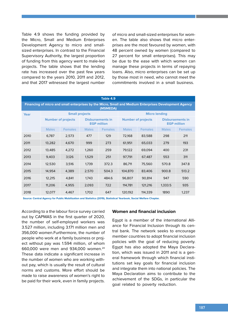Table 4.9 shows the funding provided by the Micro, Small and Medium Enterprises Development Agency to micro and smallsized enterprises. In contrast to the Financial Supervisory Authority, the largest proportion of funding from this agency went to male-led projects. The table shows that the lending rate has increased over the past few years compared to the years 2010, 2011 and 2012, and that 2017 witnessed the largest number of micro and small-sized enterprises for women. The table also shows that micro enterprises are the most favoured by women, with 48 percent owned by women (compared to 27 percent for small enterprises). This may be due to the ease with which women can manage these projects in terms of repaying loans. Also, micro enterprises can be set up by those most in need, who cannot meet the commitments involved in a small business.

|                                                                                                                    |              |                           |                       | Table 4.9                                     |                           |                |                      |                                               |  |
|--------------------------------------------------------------------------------------------------------------------|--------------|---------------------------|-----------------------|-----------------------------------------------|---------------------------|----------------|----------------------|-----------------------------------------------|--|
| Financing of micro and small enterprises by the Micro, Small and Medium Enterprises Development Agency<br>(MSMEDA) |              |                           |                       |                                               |                           |                |                      |                                               |  |
| Year                                                                                                               |              |                           | <b>Small projects</b> |                                               |                           |                | <b>Micro lending</b> |                                               |  |
|                                                                                                                    |              | <b>Number of projects</b> |                       | <b>Disbursements in</b><br><b>EGP million</b> | <b>Number of projects</b> |                |                      | <b>Disbursements in</b><br><b>EGP million</b> |  |
|                                                                                                                    | <b>Males</b> | <b>Females</b>            | <b>Males</b>          | <b>Females</b>                                | <b>Males</b>              | <b>Females</b> | <b>Males</b>         | <b>Females</b>                                |  |
| 2010                                                                                                               | 6,787        | 2,573                     | 477                   | 129                                           | 72,168                    | 83,588         | 298                  | 211                                           |  |
| 2011                                                                                                               | 13,282       | 4,670                     | 999                   | 273                                           | 61,951                    | 65,033         | 279                  | 193                                           |  |
| 2012                                                                                                               | 13,485       | 4,272                     | 1,260                 | 259                                           | 79,122                    | 69,094         | 400                  | 231                                           |  |
| 2013                                                                                                               | 9,403        | 3,126                     | 1,529                 | 251                                           | 97,791                    | 67,487         | 553                  | 311                                           |  |
| 2014                                                                                                               | 12,530       | 3,516                     | 1,739                 | 372.3                                         | 86,711                    | 75,560         | 570.8                | 347.8                                         |  |
| 2015                                                                                                               | 14,954       | 4,389                     | 2,570                 | 504.3                                         | 104,870                   | 83,406         | 900.8                | 513.2                                         |  |
| 2016                                                                                                               | 12,215       | 4.841                     | 1,743                 | 484.6                                         | 96,807                    | 90.814         | 947                  | 590                                           |  |
| 2017                                                                                                               | 11,206       | 4,955                     | 2,093                 | 722                                           | 114,781                   | 121,216        | 1,333.5              | 935                                           |  |
| 2018                                                                                                               | 12,077       | 4,467                     | 1,702                 | 647                                           | 120,192                   | 114,339        | 1890                 | 1,237                                         |  |

**Source: Central Agency for Public Mobilization and Statistics (2019), Statistical Yearbook, Social Welfare Chapter.**

According to a the labour force survey carried out by CAPMAS in the first quarter of 2020, the number of self-employed workers was 3.527 million, including 3.171 million men and 356,000 women.Furthermore, the number of people who work at a family business or project without pay was 1.594 million, of whom 660,000 were men and 934,000 women.24 These data indicate a significant increase in the number of women who are working without pay, which is usually the result of cultural norms and customs. More effort should be made to raise awareness of women's right to be paid for their work, even in family projects.

#### **Women and financial inclusion**

Egypt is a member of the international Alliance for Financial Inclusion through its central bank. The network seeks to encourage member countries to adopt financial inclusion policies with the goal of reducing poverty. Egypt has also adopted the Maya Declaration, which was issued in 2011 and is a general framework through which financial institutions set key goals for financial inclusion and integrate them into national policies. The Maya Declaration aims to contribute to the achievement of the SDGs, in particular the goal related to poverty reduction.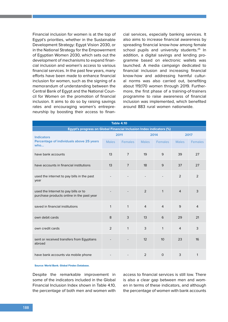Financial inclusion for women is at the top of Egypt's priorities, whether in the Sustainable Development Strategy: Egypt Vision 2030, or in the National Strategy for the Empowerment of Egyptian Women 2030, which sets out the development of mechanisms to expand financial inclusion and women's access to various financial services. In the past few years, many efforts have been made to enhance financial inclusion for women, such as the signing of a memorandum of understanding between the Central Bank of Egypt and the National Council for Women on the promotion of financial inclusion. It aims to do so by raising savings rates and encouraging women's entrepreneurship by boosting their access to financial services, especially banking services. It also aims to increase financial awareness by spreading financial know-how among female school pupils and university students.<sup>25</sup> In addition, a digital savings and lending programme based on electronic wallets was launched. A media campaign dedicated to financial inclusion and increasing financial know-how and addressing harmful cultural norms was also carried out, benefiting about 119,170 women through 2019. Furthermore, the first phase of a training-of-trainers programme to raise awareness of financial inclusion was implemented, which benefited around 883 rural women nationwide.

| <b>Table 4.10</b>                                                                 |                |                |                |                |                |                |  |  |  |
|-----------------------------------------------------------------------------------|----------------|----------------|----------------|----------------|----------------|----------------|--|--|--|
| Egypt's progress on Global Financial Inclusion Index indicators (%)               |                |                |                |                |                |                |  |  |  |
| <b>Indicators</b>                                                                 |                | 2011           |                | 2014           | 2017           |                |  |  |  |
| <b>Percentage of individuals above 25 years</b><br>who                            | <b>Males</b>   | <b>Females</b> | <b>Males</b>   | <b>Females</b> | <b>Males</b>   | <b>Females</b> |  |  |  |
| have bank accounts                                                                | 13             | $\overline{7}$ | 19             | 9              | 39             | 27             |  |  |  |
| have accounts in financial institutions                                           | 13             | $\overline{7}$ | 18             | 9              | 37             | 27             |  |  |  |
| used the internet to pay bills in the past<br>year                                |                |                |                |                | 2              | $\overline{2}$ |  |  |  |
| used the Internet to pay bills or to<br>purchase products online in the past year |                |                | 2              | $\mathbf{1}$   | $\overline{4}$ | 3              |  |  |  |
| saved in financial institutions                                                   | 1              | $\mathbf{1}$   | $\overline{4}$ | $\overline{4}$ | 9              | $\overline{4}$ |  |  |  |
| own debit cards                                                                   | 8              | 3              | 13             | 6              | 29             | 21             |  |  |  |
| own credit cards                                                                  | $\overline{2}$ | $\mathbf{1}$   | 3              | $\mathbf{1}$   | $\overline{4}$ | 3              |  |  |  |
| sent or received transfers from Egyptians<br>abroad                               |                |                | 12             | 10             | 23             | 16             |  |  |  |
| have bank accounts via mobile phone                                               |                |                | 2              | $\mathbf{O}$   | 3              | 1              |  |  |  |

**Source: World Bank. Global Findex Database.**

Despite the remarkable improvement in some of the indicators included in the Global Financial Inclusion Index shown in Table 4.10, the percentage of both men and women with access to financial services is still low. There is also a clear gap between men and women in terms of these indicators, and although the percentage of women with bank accounts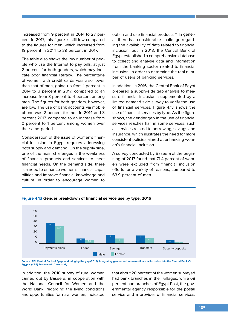increased from 9 percent in 2014 to 27 percent in 2017, this figure is still low compared to the figures for men, which increased from 19 percent in 2014 to 39 percent in 2017.

The table also shows the low number of people who use the Internet to pay bills, at just 2 percent for both genders, which may indicate poor financial literacy. The percentage of women with credit cards was also lower than that of men, going up from 1 percent in 2014 to 3 percent in 2017, compared to an increase from 3 percent to 4 percent among men. The figures for both genders, however, are low. The use of bank accounts via mobile phone was 2 percent for men in 2014 and 3 percent 2017, compared to an increase from 0 percent to 1 percent among women over the same period.

Consideration of the issue of women's financial inclusion in Egypt requires addressing both supply and demand. On the supply side, one of the main challenges is the weakness of financial products and services to meet financial needs. On the demand side, there is a need to enhance women's financial capabilities and improve financial knowledge and culture, in order to encourage women to

obtain and use financial products.<sup>26</sup> In general, there is a considerable challenge regarding the availability of data related to financial inclusion, but in 2018, the Central Bank of Egypt established a comprehensive database to collect and analyse data and information from the banking sector related to financial inclusion, in order to determine the real number of users of banking services.

In addition, in 2016, the Central Bank of Egypt prepared a supply-side gap analysis to measure financial inclusion, supplemented by a limited demand-side survey to verify the use of financial services. Figure 4.13 shows the use of financial services by type. As the figure shows, the gender gap in the use of financial services reaches half in some services, such as services related to borrowing, savings and insurance, which illustrates the need for more consistent policies aimed at enhancing women's financial inclusion.

A survey conducted by Baseera at the beginning of 2017 found that 71.4 percent of women were excluded from financial inclusion efforts for a variety of reasons, compared to 63.9 percent of men.



#### **Figure 4.13 Gender breakdown of financial service use by type, 2016**

**Source: AFI, Central Bank of Egypt and bridging the gap (2019). Integrating gender and women's financial inclusion into the Central Bank Of Egypt's (CBE) Framework: Case study.**

In addition, the 2018 survey of rural women carried out by Baseera, in cooperation with the National Council for Women and the World Bank, regarding the living conditions and opportunities for rural women, indicated that about 20 percent of the women surveyed had bank branches in their villages, while 68 percent had branches of Egypt Post, the governmental agency responsible for the postal service and a provider of financial services.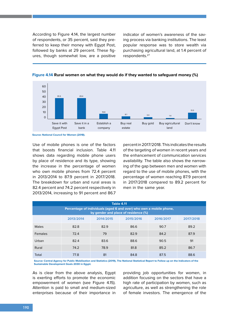According to Figure 4.14, the largest number of respondents, or 35 percent, said they preferred to keep their money with Egypt Post, followed by banks at 29 percent. These figures, though somewhat low, are a positive indicator of women's awareness of the saving process via banking institutions. The least popular response was to store wealth via purchasing agricultural land, at 1.4 percent of respondents.27





Use of mobile phones is one of the factors that boosts financial inclusion. Table 4.11 shows data regarding mobile phone users by place of residence and its type, showing the increase in the percentage of women who own mobile phones from 72.4 percent in 2013/2014 to 87.9 percent in 2017/2018. The breakdown for urban and rural areas is 82.4 percent and 74.2 percent respectively in 2013/2014, increasing to 91 percent and 86.7

percent in 2017/2018. This indicates the results of the targeting of women in recent years and the enhancement of communication services availability. The table also shows the narrowing of the gap between men and women with regard to the use of mobile phones, with the percentage of women reaching 87.9 percent in 2017/2018 compared to 89.2 percent for men in the same year.

| <b>Table 4.11</b>                                                                                           |                                                               |      |      |      |      |  |  |  |  |
|-------------------------------------------------------------------------------------------------------------|---------------------------------------------------------------|------|------|------|------|--|--|--|--|
| Percentage of individuals (aged 6 and over) who own a mobile phone,<br>by gender and place of residence (%) |                                                               |      |      |      |      |  |  |  |  |
|                                                                                                             | 2014/2015<br>2015/2016<br>2013/2014<br>2016/2017<br>2017/2018 |      |      |      |      |  |  |  |  |
| Males                                                                                                       | 82.8                                                          | 82.9 | 86.6 | 90.7 | 89.2 |  |  |  |  |
| <b>Females</b>                                                                                              | 72.4                                                          | 79   | 82.9 | 84.2 | 87.9 |  |  |  |  |
| Urban                                                                                                       | 82.4                                                          | 83.6 | 88.6 | 90.5 | 91   |  |  |  |  |
| Rural                                                                                                       | 74.2                                                          | 78.9 | 81.8 | 85.2 | 86.7 |  |  |  |  |
| Total                                                                                                       | 77.8                                                          | 81   | 84.8 | 87.5 | 88.6 |  |  |  |  |

**Source: Central Agency for Public Mobilization and Statistics (2019), The National Statistical Report to Follow up on the Indicators of the Sustainable Development Goals 2030 in Egypt.**

As is clear from the above analysis, Egypt is exerting efforts to promote the economic empowerment of women (see Figure 4.15). Attention is paid to small and medium-sized enterprises because of their importance in providing job opportunities for women, in addition focusing on the sectors that have a high rate of participation by women, such as agriculture, as well as strengthening the role of female investors. The emergence of the

**Source: National Council for Women (2018).**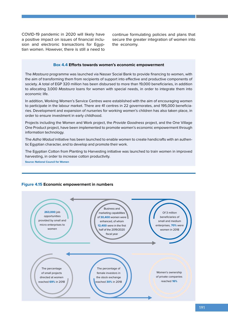COVID-19 pandemic in 2020 will likely have a positive impact on issues of financial inclusion and electronic transactions for Egyptian women. However, there is still a need to

continue formulating policies and plans that secure the greater integration of women into the economy.

#### **Box 4.4 Efforts towards women's economic empowerment**

The Mastoura programme was launched via Nasser Social Bank to provide financing to women, with the aim of transforming them from recipients of support into effective and productive components of society. A total of EGP 320 million has been disbursed to more than 19,000 beneficiaries, in addition to allocating 3,000 Mastoura loans for women with special needs, in order to integrate them into economic life.

In addition, Working Women's Service Centres were established with the aim of encouraging women to participate in the labour market. There are 41 centres in 22 governorates, and 195,000 beneficiaries. Development and expansion of nurseries for working women's children has also taken place, in order to ensure investment in early childhood.

Projects including the Women and Work project, the Provide Goodness project, and the One Village One Product project, have been implemented to promote women's economic empowerment through information technology.

The Adha Wadud initiative has been launched to enable women to create handicrafts with an authentic Egyptian character, and to develop and promote their work.

The Egyptian Cotton from Planting to Harvesting initiative was launched to train women in improved harvesting, in order to increase cotton productivity.

**Source: National Council for Women**

#### **Figure 4.15 Economic empowerment in numbers**

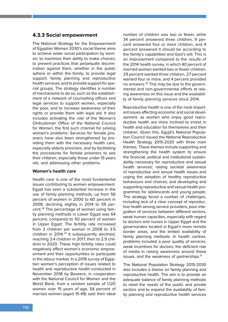# **4.3.3 Social empowerment**

The National Strategy for the Empowerment of Egyptian Women 2030's social theme aims to achieve wider social participation by women; to maximize their ability to make choices; to prevent practices that perpetuate discrimination against them, whether in the public sphere or within the family; to provide legal support, family planning and reproductive health services; and to provide support for special groups. The strategy identifies a number of mechanisms to do so, such as the establishment of a network of counselling offices and legal services to support women, especially the poor, and to increase awareness of their rights or provide them with legal aid. It also includes activating the role of the Woman's Ombudsman Office of the National Council for Women, the first such channel for solving women's problems. Services for female prisoners have also been strengthened by providing them with the necessary health care, especially elderly prisoners, and by facilitating the procedures for female prisoners to see their children, especially those under 15 years old, and addressing other problems.

# **Women's health care**

Health care is one of the most fundamental issues contributing to women empowerment. Egypt has seen a substantial increase in the use of family planning methods, up from 56 percent of women in 2000 to 60 percent in 2008, declining slightly in 2014 to 59 percent.28 The percentage of women using family planning methods in Lower Egypt was 64 percent, compared to 50 percent of women in Upper Egypt. The fertility rate increased from 3 children per woman in 2008 to 3.5 children in 2014.<sup>29</sup> It subsequently declined, reaching 3.4 children in 2017, then to 2.9 children in 2020. These high fertility rates could negatively affect women's economic empowerment and their opportunities to participate in the labour market. In a 2018 survey of Egyptian women's perception of issues related to health and reproductive health conducted in November 2018 by Baseera, in cooperation with the National Council for Women and the World Bank, from a random sample of 1,120 women over 15 years of age, 54 percent of married women (aged 15-49) said their ideal number of children was two or fewer, while 34 percent answered three children, 9 percent answered four or more children, and 4 percent answered it should be according to the family's capabilities and God's will. This is an improvement compared to the results of the 2014 health survey, in which 40 percent of married women wanted two or fewer children, 29 percent wanted three children, 27 percent wanted four or more, and 4 percent provided no answers.<sup>30</sup> This may be due to the governmental and non-governmental efforts at raising awareness on this issue and the availability of family planning services since 2014.

Reproductive health is one of the most important issues affecting economic and social development, as women who enjoy good reproductive health are more inclined to invest in health and education for themselves and their children. Given this, Egypt's National Population Council issued the National Reproductive Health Strategy 2015-2020 with three main themes. These themes include supporting and strengthening the health system to ensure the financial, political and institutional sustainability necessary for reproductive and sexual health services; raising societal awareness of reproductive and sexual health issues and urging the adoption of healthy reproductive behaviours and choices; and developing and supporting reproductive and sexual health programmes for adolescents and young people. The strategy faced a number of challenges, including lack of a clear concept of reproductive health among service providers, poor integration of services between different sectors, weak human capacities, especially with regard to doctors and nurses in Upper Egypt and the governorates located in Egypt's more remote border areas, and the limited availability of family planning methods. In health centres, problems included a poor quality of services, weak incentives for doctors, the deficient role of media in raising awareness around these issues, and the weakness of partnerships.<sup>31</sup>

The National Population Strategy 2015-2030 also includes a theme on family planning and reproductive health. The aim is to provide an adequate balance of family planning methods to meet the needs of the public and private sectors and to expand the availability of family planning and reproductive health services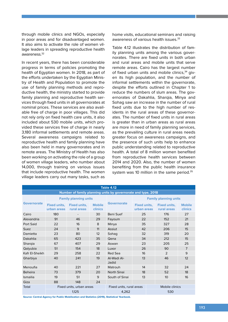through mobile clinics and NGOs, especially in poor areas and for disadvantaged women. It also aims to activate the role of women village leaders in spreading reproductive health awareness.<sup>32</sup>

In recent years, there has been considerable progress in terms of policies promoting the health of Egyptian women. In 2018, as part of the efforts undertaken by the Egyptian Ministry of Health and Population to promote the use of family planning methods and reproductive health, the ministry started to provide family planning and reproductive health services through fixed units in all governorates at nominal prices. These services are also available free of charge in poor villages. This did not rely only on fixed health care units, it also included about 530 mobile units, which provided these services free of charge in nearly 3,180 informal settlements and remote areas. Several awareness campaigns related to reproductive health and family planning have also been held in many governorates and in remote areas. The Ministry of Health has also been working on activating the role of a group of women village leaders, who number about 14,000, through training on various issues that include reproductive health. The women village leaders carry out many tasks, such as

home visits, educational seminars and raising awareness of various health issues.<sup>33</sup>

Table 4.12 illustrates the distribution of family planning units among the various governorates. There are fixed units in both urban and rural areas and mobile units that serve remote areas. Cairo has the largest number of fixed urban units and mobile clinics,<sup>34</sup> given its high population, and the number of informal settlements within the governorate, despite the efforts outlined in Chapter 1 to reduce the numbers of slum areas. The governorates of Dakahlia, Sharqia, Minya and Sohag saw an increase in the number of rural fixed units due to the high number of residents in the rural areas of these governorates. The number of fixed units in rural areas is greater than in urban areas as rural areas are more in need of family planning services, as the prevailing culture in rural areas needs greater focus on awareness campaigns, and the presence of such units help to enhance public understanding related to reproductive health. A total of 8 million women benefited from reproductive health services between 2014 and 2020. Also, the number of women benefiting from the public health insurance system was 10 million in the same period. $35$ 

|                    | <b>Table 4.12</b>                  |                                    |                          |                                                               |                                    |                                    |                          |  |  |  |
|--------------------|------------------------------------|------------------------------------|--------------------------|---------------------------------------------------------------|------------------------------------|------------------------------------|--------------------------|--|--|--|
|                    |                                    |                                    |                          | Number of family planning units by governorate and type, 2018 |                                    |                                    |                          |  |  |  |
|                    |                                    | <b>Family planning units</b>       |                          |                                                               | <b>Family planning units</b>       |                                    |                          |  |  |  |
| <b>Governorate</b> | <b>Fixed units.</b><br>urban areas | <b>Fixed units,</b><br>rural areas | <b>Mobile</b><br>clinics | <b>Governorate</b>                                            | <b>Fixed units.</b><br>urban areas | <b>Fixed units.</b><br>rural areas | <b>Mobile</b><br>clinics |  |  |  |
| Cairo              | 180                                |                                    | 30                       | Beni Suef                                                     | 25                                 | 176                                | 27                       |  |  |  |
| Alexandria         | 91                                 | 46                                 | 29                       | Fayoum                                                        | 22                                 | 152                                | 21                       |  |  |  |
| <b>Port Said</b>   | 22                                 | 16                                 | 8                        | Minya                                                         | 35                                 | 327                                | 28                       |  |  |  |
| Suez               | 24                                 | 9                                  | 11                       | Assiut                                                        | 42                                 | 206                                | 15                       |  |  |  |
| Damietta           | 23                                 | 80                                 | 12                       | Sohag                                                         | 32                                 | 319                                | 20                       |  |  |  |
| Dakahlia           | 65                                 | 423                                | 35                       | Qena                                                          | 34                                 | 212                                | 15                       |  |  |  |
| Shargia            | 67                                 | 407                                | 29                       | Aswan                                                         | 23                                 | 205                                | 25                       |  |  |  |
| Qalyubia           | 51                                 | 154                                | 18                       | Luxor                                                         | 26                                 | 90                                 | $\overline{7}$           |  |  |  |
| Kafr El-Sheikh     | 29                                 | 258                                | 22                       | Red Sea                                                       | 16                                 | 2                                  | 9                        |  |  |  |
| Gharbiya           | 40                                 | 241                                | 19                       | Al-Wadi Al-<br>Jadid                                          | 13                                 | 46                                 | 12                       |  |  |  |
| Menoufia           | 40                                 | 221                                | 27                       | Matrouh                                                       | 14                                 | 32                                 | 24                       |  |  |  |
| <b>Beheira</b>     | 73                                 | 379                                | 20                       | North Sinai                                                   | 18                                 | 52                                 | 18                       |  |  |  |
| Ismailia           | 19                                 | 51                                 | 9                        | South of Sinai                                                | 13                                 | 10                                 | 16                       |  |  |  |
| Giza               | 88                                 | 148                                | 24                       |                                                               |                                    |                                    |                          |  |  |  |
| Total              |                                    | Fixed units, urban areas           |                          | Fixed units, rural areas                                      |                                    | Mobile clinics                     |                          |  |  |  |
|                    | 1,125                              |                                    |                          | 4.262                                                         |                                    | 530                                |                          |  |  |  |

**Source: Central Agency for Public Mobilization and Statistics (2019), Statistical Yearbook.**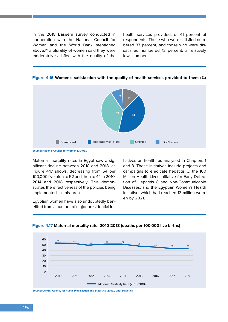In the 2018 Baseera survey conducted in cooperation with the National Council for Women and the World Bank mentioned above, $36$  a plurality of women said they were moderately satisfied with the quality of the

health services provided, or 41 percent of respondents. Those who were satisfied numbered 37 percent, and those who were dissatisfied numbered 13 percent, a relatively low number.



# **Figure 4.16 Women's satisfaction with the quality of health services provided to them (%)**

**Source: National Council for Women (2019a).**

Maternal mortality rates in Egypt saw a significant decline between 2010 and 2018, as Figure 4.17 shows, decreasing from 54 per 100,000 live birth to 52 and then to 44 in 2010, 2014 and 2018 respectively. This demonstrates the effectiveness of the policies being implemented in this area.

Egyptian women have also undoubtedly benefited from a number of major presidential initiatives on health, as analysed in Chapters 1 and 3. These initiatives include projects and campaigns to eradicate hepatitis C; the 100 Million Health Lives Initiative for Early Detection of Hepatitis C and Non-Communicable Diseases; and the Egyptian Women's Health Initiative, which had reached 13 million women by 2021.



**Figure 4.17 Maternal mortality rate, 2010-2018 (deaths per 100,000 live births)**

**Source: Central Agency for Public Mobilization and Statistics (2019), Vital Statistics.**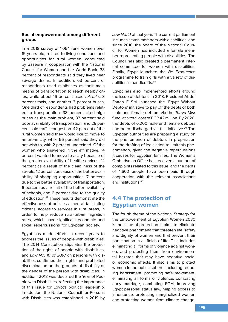# **Social empowerment among different groups**

In a 2018 survey of 1,054 rural women over 15 years old, related to living conditions and opportunities for rural women, conducted by Baseera in cooperation with the National Council for Women and the World Bank, 38 percent of respondents said they lived near sewage drains. In addition, 63 percent of respondents used minibuses as their main means of transportation to reach nearby cities, while about 16 percent used tuk-tuks, 3 percent taxis, and another 3 percent buses. One third of respondents had problems related to transportation; 38 percent cited high prices as the main problem, 37 percent said poor availability of transportation, and 28 percent said traffic congestion. 42 percent of the rural women said they would like to move to an urban city, while 56 percent said they did not wish to, with 2 percent undecided. Of the women who answered in the affirmative, 14 percent wanted to move to a city because of the greater availability of health services, 14 percent as a result of the cleanliness of the streets, 12 percent because of the better availability of shopping opportunities, 7 percent due to the better availability of transportation, 6 percent as a result of the better availability of schools, and 6 percent due to the quality of education.37 These results demonstrate the effectiveness of policies aimed at facilitating citizens' access to services in rural areas, in order to help reduce rural-urban migration rates, which have significant economic and social repercussions for Egyptian society.

Egypt has made efforts in recent years to address the issues of people with disabilities. The 2014 Constitution stipulates the protection of the rights of people with disabilities, and Law No. 10 of 2018 on persons with disabilities confirmed their rights and prohibited discrimination on the grounds of disability or the gender of the person with disabilities. In addition, 2018 was declared the Year of People with Disabilities, reflecting the importance of this issue for Egypt's political leadership. In addition, the National Council for Persons with Disabilities was established in 2019 by Law No. 11 of that year. The current parliament includes seven members with disabilities, and since 2016, the board of the National Council for Women has included a female member representing people with disabilities. The Council has also created a permanent internal committee for women with disabilities. Finally, Egypt launched the Be Productive programme to train girls with a variety of disabilities in handicrafts.<sup>38</sup>

Egypt has also implemented efforts around the issue of debtors. In 2018, President Abdel Fattah El-Sisi launched the 'Egypt Without Debtors' initiative to pay off the debts of both male and female debtors via the Tahya Misr fund, at a total cost of EGP 42 million. By 2020, the debts of 6,000 male and female debtors had been discharged via this initiative.<sup>39</sup> The Egyptian authorities are preparing a study on the phenomenon of debtors in preparation for the drafting of legislation to limit this phenomenon, given the negative repercussions it causes for Egyptian families. The Woman's Ombudsman Office has received a number of complaints related to this issue, and the debts of 4,602 people have been paid through cooperation with the relevant associations and institutions.40

# **4.4 The protection of Egyptian women**

The fourth theme of the National Strategy for the Empowerment of Egyptian Women 2030 is the issue of protection. It aims to eliminate negative phenomena that threaten life, safety and dignity of women and that prevent their participation in all fields of life. This includes eliminating all forms of violence against women, and protecting them from environmental hazards that may have negative social or economic effects. It also aims to protect women in the public sphere, including reducing harassment, promoting safe movement, eliminating all forms of violence, combating early marriage, combating FGM, improving Egypt personal status law, helping access to inheritance, protecting marginalized women and protecting women from climate change.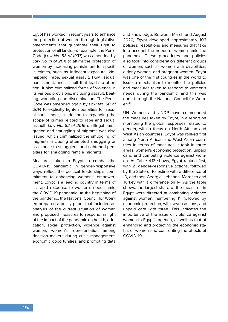Egypt has worked in recent years to enhance the protection of women through legislative amendments that guarantee their right to protection of all kinds. For example, the Penal Code (Law No. 58 of 1937) was amended by Law No. 11 of 2011 to affirm the protection of women by increasing punishment for specific crimes, such as indecent exposure, kidnapping, rape, sexual assault, FGM, sexual harassment, and assault that leads to abortion. It also criminalized forms of violence in its various provisions, including assault, beating, wounding and discrimination. The Penal Code was amended again by Law No. 50 of 2014 to explicitly tighten penalties for sexual harassment, in addition to expanding the scope of crimes related to rape and sexual assault. Law No. 82 of 2016 on illegal immigration and smuggling of migrants was also issued, which criminalized the smuggling of migrants, including attempted smuggling or assistance to smugglers, and tightened penalties for smuggling female migrants.

Measures taken in Egypt to combat the COVID-19 pandemic in gender-responsive ways reflect the political leadership's commitment to enhancing women's empowerment. Egypt is a leading country in terms of its rapid response to women's needs amid the COVID-19 pandemic. At the beginning of the pandemic, the National Council for Women prepared a policy paper that included an analysis of the current situation of women and proposed measures to respond, in light of the impact of the pandemic on health, education, social protection, violence against women, women's representation among decision makers during crisis management, economic opportunities, and promoting data

and knowledge. Between March and August 2020, Egypt developed approximately 106 policies, resolutions and measures that take into account the needs of women amid the pandemic. These procedures and policies also took into consideration different groups of women, such as women with disabilities, elderly women, and pregnant women. Egypt was one of the first countries in the world to issue a mechanism to monitor the policies and measures taken to respond to women's needs during the pandemic, and this was done through the National Council for Wom $en<sup>41</sup>$ 

UN Women and UNDP have commended the measures taken by Egypt, in a report on monitoring the global responses related to gender, with a focus on North African and West Asian countries. Egypt was ranked first among North African and West Asian countries in terms of measures it took in three areas: women's economic protection, unpaid care, and combating violence against women. As Table 4.13 shows, Egypt ranked first, with 21 gender-responsive actions, followed by the State of Palestine with a difference of 10, and then Georgia, Lebanon, Morocco and Turkey with a difference on 14. As the table shows, the largest share of the measures in Egypt were directed at combating violence against women, numbering 11, followed by economic protection, with seven actions, and unpaid care with three. This indicates the importance of the issue of violence against women to Egypt's agenda, as well as that of enhancing and protecting the economic status of women and confronting the effects of COVID-19.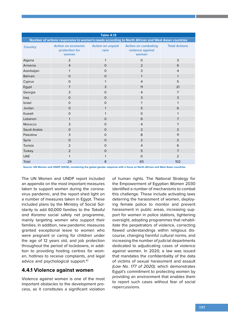| <b>Table 4.13</b>                                                                                 |                                                      |                                 |                                                         |                      |
|---------------------------------------------------------------------------------------------------|------------------------------------------------------|---------------------------------|---------------------------------------------------------|----------------------|
| Number of actions responsive to women's needs according to North African and West Asian countries |                                                      |                                 |                                                         |                      |
| <b>Country</b>                                                                                    | <b>Action on economic</b><br>protection for<br>women | <b>Action on unpaid</b><br>care | <b>Action on combating</b><br>violence against<br>women | <b>Total Actions</b> |
| Algeria                                                                                           | $\overline{2}$                                       | $\mathbf{1}$                    | $\mathbf{O}$                                            | 3                    |
| Armenia                                                                                           | $\overline{4}$                                       | $\mathbf 0$                     | $\overline{2}$                                          | 6                    |
| Azerbaijan                                                                                        | 1                                                    | $\Omega$                        | 3                                                       | $\overline{4}$       |
| <b>Bahrain</b>                                                                                    | $\mathbf{O}$                                         | $\mathbf 0$                     | $\mathbf{1}$                                            | $\mathbf{1}$         |
| Cyprus                                                                                            | $\mathbf{O}$                                         | 1                               | $\overline{4}$                                          | 5                    |
| Egypt                                                                                             | $\overline{7}$                                       | 3                               | 11                                                      | 21                   |
| Georgia                                                                                           | 3                                                    | $\mathsf{O}$                    | $\overline{4}$                                          | $\overline{7}$       |
| Iraq                                                                                              | $\Omega$                                             | $\Omega$                        | 3                                                       | 3                    |
| <b>Israel</b>                                                                                     | $\mathbf 0$                                          | $\mathsf{O}$                    | 1                                                       | $\mathbf{1}$         |
| Jordan                                                                                            | $\Omega$                                             | 1                               | 5                                                       | 6                    |
| Kuwait                                                                                            | $\mathbf{O}$                                         | 1                               | $\Omega$                                                | 1                    |
| Lebanon                                                                                           | $\mathbf{1}$                                         | $\Omega$                        | 6                                                       | $\overline{7}$       |
| Morocco                                                                                           | 3                                                    | $\mathsf{O}$                    | $\overline{4}$                                          | $\overline{7}$       |
| Saudi Arabia                                                                                      | $\Omega$                                             | $\Omega$                        | $\overline{2}$                                          | $\overline{2}$       |
| Palestine                                                                                         | 3                                                    | $\mathsf{O}$                    | 8                                                       | 11                   |
| Syria                                                                                             | $\mathsf{O}$                                         | $\mathbf 0$                     | 2                                                       | 2                    |
| Tunisia                                                                                           | 2                                                    | $\Omega$                        | $\overline{4}$                                          | 6                    |
| Turkey                                                                                            | $\overline{2}$                                       | $\mathbf 0$                     | 5                                                       | $\overline{7}$       |
| <b>UAE</b>                                                                                        | $\mathbf{1}$                                         | 1                               | $\Omega$                                                | 2                    |
| Total                                                                                             | 29                                                   | 8                               | 65                                                      | 102                  |

**Source: UN Women and UNDP (2020), monitoring the global gender response with a focus on North African and West Asian countries.**

The UN Women and UNDP report included an appendix on the most important measures taken to support women during the coronavirus pandemic, and the report shed light on a number of measures taken in Egypt. These included plans by the Ministry of Social Solidarity to add 60,000 families to the Takaful and Karama social safety net programme, mainly targeting women who support their families. In addition, new pandemic measures granted exceptional leave to women who were pregnant or caring for children under the age of 12 years old, and job protection throughout the period of lockdowns, in addition to providing hosting centres for women, hotlines to receive complaints, and legal advice and psychological support.<sup>42</sup>

# **4.4.1 Violence against women**

Violence against women is one of the most important obstacles to the development process, as it constitutes a significant violation

of human rights. The National Strategy for the Empowerment of Egyptian Women 2030 identified a number of mechanisms to combat this challenge. These include activating laws deterring the harassment of women, deploying female police to monitor and prevent harassment in public areas, increasing support for women in police stations, tightening oversight, adopting programmes that rehabilitate the perpetrators of violence, correcting flawed understandings within religious discourse, changing harmful cultural norms, and increasing the number of judicial departments dedicated to adjudicating cases of violence against women. In 2020, a law was issued that mandates the confidentiality of the data of victims of sexual harassment and assault (Law No. 177 of 2020), which demonstrates Egypt's commitment to protecting women by providing an environment that enables them to report such cases without fear of social repercussions.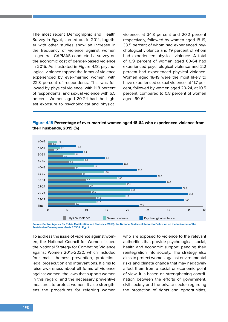The most recent Demographic and Health Survey in Egypt, carried out in 2014, together with other studies show an increase in the frequency of violence against women in general. CAPMAS conducted a survey on the economic cost of gender-based violence in 2015. As illustrated in Figure 4.18, psychological violence topped the forms of violence experienced by ever-married women, with 22.3 percent of respondents. This was followed by physical violence, with 11.8 percent of respondents, and sexual violence with 6.5 percent. Women aged 20-24 had the highest exposure to psychological and physical

violence, at 34.3 percent and 20.2 percent respectively, followed by women aged 18-19, 33.5 percent of whom had experienced psychological violence and 19 percent of whom had experienced physical violence. A total of 6.9 percent of women aged 60-64 had experienced psychological violence and 2.2 percent had experienced physical violence. Women aged 18-19 were the most likely to have experienced sexual violence, at 11.7 percent, followed by women aged 20-24, at 10.5 percent, compared to 0.8 percent of women aged 60-64.



 $\overline{19}$ 

 $20$ 

25

# **Figure 4.18 Percentage of ever-married women aged 18-64 who experienced violence from their husbands, 2015 (%)**

**Source: Central Agency for Public Mobilization and Statistics (2019), the National Statistical Report to Follow up on the Indicators of the Sustainable Development Goals 2030 in Egypt.**

Physical violence **Sexual violence** Psychological violence

22.3 6.5

 $15$ 

11.7

11.8

 $10$ 

To address the issue of violence against women, the National Council for Women issued the National Strategy for Combating Violence against Women 2015-2020, which included four main themes: prevention, protection, legal prosecution and interventions. It aims to raise awareness about all forms of violence against women, the laws that support women in this regard, and the necessary preventive measures to protect women. It also strengthens the procedures for referring women

5

who are exposed to violence to the relevant authorities that provide psychological, social, health and economic support, pending their reintegration into society. The strategy also aims to protect women against environmental risks and climate change that may negatively affect them from a social or economic point of view. It is based on strengthening coordination between the efforts of government, civil society and the private sector regarding the protection of rights and opportunities,

30

34.3 33.5

35

 $40$ 

18-19 Total

 $\Omega$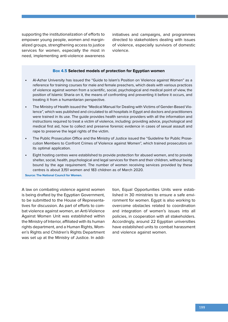supporting the institutionalization of efforts to empower young people, women and marginalized groups, strengthening access to justice services for women, especially the most in need, implementing anti-violence awareness

initiatives and campaigns, and programmes directed to stakeholders dealing with issues of violence, especially survivors of domestic violence.

#### **Box 4.5 Selected models of protection for Egyptian women**

- **•** Al-Azhar University has issued the "Guide to Islam's Position on Violence against Women" as a reference for training courses for male and female preachers, which deals with various practices of violence against women from a scientific, social, psychological and medical point of view, the position of Islamic Sharia on it, the means of confronting and preventing it before it occurs, and treating it from a humanitarian perspective.
- **•** The Ministry of Health issued the "Medical Manual for Dealing with Victims of Gender-Based Violence", which was published and circulated to all hospitals in Egypt and doctors and practitioners were trained in its use. The guide provides health service providers with all the information and instructions required to treat a victim of violence, including: providing advice, psychological and medical first aid, how to collect and preserve forensic evidence in cases of sexual assault and rape to preserve the legal rights of the victim.
- **•** The Public Prosecution Office and the Ministry of Justice issued the "Guideline for Public Prosecution Members to Confront Crimes of Violence against Women", which trained prosecutors on its optimal application.
- **•** Eight hosting centres were established to provide protection for abused women, and to provide shelter, social, health, psychological and legal services for them and their children, without being bound by the age requirement. The number of women receiving services provided by these centres is about 3,151 women and 183 children as of March 2020.

**Source: The National Council for Women.**

A law on combating violence against women is being drafted by the Egyptian Government, to be submitted to the House of Representatives for discussion. As part of efforts to combat violence against women, an Anti-Violence Against Women Unit was established within the Ministry of Interior, affiliated with its human rights department, and a Human Rights, Women's Rights and Children's Rights Department was set up at the Ministry of Justice. In addition, Equal Opportunities Units were established in 30 ministries to ensure a safe environment for women. Egypt is also working to overcome obstacles related to coordination and integration of women's issues into all policies, in cooperation with all stakeholders. Accordingly, around 22 Egyptian universities have established units to combat harassment and violence against women.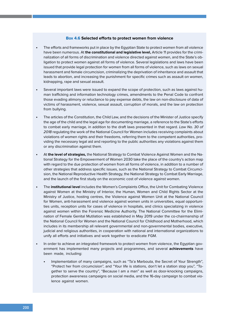#### **Box 4.6 Selected efforts to protect women from violence**

- **•** The efforts and frameworks put in place by the Egyptian State to protect women from all violence have been numerous. At **the constitutional and legislative level,** Article 11 provides for the criminalization of all forms of discrimination and violence directed against women, and the State's obligation to protect women against all forms of violence. Several legislations and laws have been issued that provide legal protection for women from all forms of violence, such as laws on sexual harassment and female circumcision, criminalizing the deprivation of inheritance and assault that leads to abortion, and increasing the punishment for specific crimes such as assault on women, kidnapping, rape and sexual assault.
- **•** Several important laws were issued to expand the scope of protection, such as laws against human trafficking and information technology crimes, amendments to the Penal Code to confront those evading alimony or reluctance to pay expense debts, the law on non-disclosure of data of victims of harassment, violence, sexual assault, corruption of morals, and the law on protection from bullying.
- **•** The articles of the Constitution, the Child Law, and the decisions of the Minister of Justice specify the age of the child and the legal age for documenting marriage, a reference to the State's efforts to combat early marriage, in addition to the draft laws presented in that regard. Law No. 30 of 2018 regulating the work of the National Council for Women includes receiving complaints about violations of women rights and their freedoms, referring them to the competent authorities, providing the necessary legal aid and reporting to the public authorities any violations against them or any discrimination against them.
- **•** At **the level of strategies,** the National Strategy to Combat Violence Against Women and the National Strategy for the Empowerment of Women 2030 take the place of the country's action map with regard to the due protection of women from all forms of violence, in addition to a number of other strategies that address specific issues, such as the National Strategy to Combat Circumcision, the National Reproductive Health Strategy, the National Strategy to Combat Early Marriage, and the launch of the first study on the economic cost of violence against women.
- **•** The **institutional level** includes the Women's Complaints Office, the Unit for Combating Violence against Women at the Ministry of Interior, the Human, Women and Child Rights Sector at the Ministry of Justice, hosting centres, the Violence against Women Unit at the National Council for Women, anti-harassment and violence against women units in universities, equal opportunities units, reception units for cases of violence in hospitals, and clinics specializing in violence against women within the Forensic Medicine Authority. The National Committee for the Elimination of Female Genital Mutilation was established in May 2019 under the co-chairmanship of the National Council for Women and the National Council for Childhood and Motherhood, which includes in its membership all relevant governmental and non-governmental bodies, executive, judicial and religious authorities, in cooperation with national and international organizations to unify all efforts and initiatives and work together to eradicate FGM.
- **•** In order to achieve an integrated framework to protect women from violence, the Egyptian government has implemented many projects and programmes, and several **achievements** have been made, including:
	- **•** Implementation of many campaigns, such as "Ta'a Marbouta, the Secret of Your Strength", "Protect her from circumcision", and "Your life is stations, don't let a station stop you", "Together to serve the country", "Because I am a man" as well as door-knocking campaigns, protection awareness campaigns on social media, and the 16-day campaign to combat violence against women.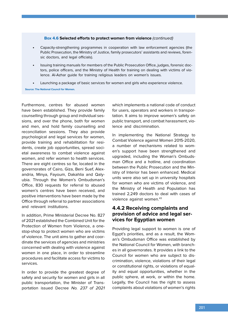## **Box 4.6 Selected efforts to protect women from violence** (continued)

- **•** Capacity-strengthening programmes in cooperation with law enforcement agencies (the Public Prosecution, the Ministry of Justice, family prosecutors' assistants and reviews, forensic doctors, and legal officials).
- **•** Issuing training manuals for members of the Public Prosecution Office, judges, forensic doctors, police officers, and the Ministry of Health for training on dealing with victims of violence. Al-Azhar guide for training religious leaders on women's issues.
- **•** Launching a package of basic services for women and girls who experience violence.

**Source: The National Council for Women.**

Furthermore, centres for abused women have been established. They provide family counselling through group and individual sessions, and over the phone, both for women and men, and hold family counselling and reconciliation sessions. They also provide psychological and legal services for women, provide training and rehabilitation for residents, create job opportunities, spread societal awareness to combat violence against women, and refer women to health services. There are eight centres so far, located in the governorates of Cairo, Giza, Beni Suef, Alexandria, Minya, Fayoum, Dakahlia and Qalyubia. Through the Women's Ombudsman's Office, 830 requests for referral to abused women's centres have been received, and positive interventions have been made by the Office through referral to partner associations and relevant institutions.

In addition, Prime Ministerial Decree No. 827 of 2021 established the Combined Unit for the Protection of Women from Violence, a onestop-shop to protect women who are victims of violence. The unit aims to gather and coordinate the services of agencies and ministries concerned with dealing with violence against women in one place, in order to streamline procedures and facilitate access for victims to services.

In order to provide the greatest degree of safety and security for women and girls in all public transportation, the Minister of Transportation issued Decree No. 237 of 2021 which implements a national code of conduct for users, operators and workers in transportation. It aims to improve women's safety on public transport, and combat harassment, violence and discrimination.

In implementing the National Strategy to Combat Violence against Women 2015-2020, a number of mechanisms related to women's support have been strengthened and upgraded, including the Woman's Ombudsman Office and a hotline, and coordination between the Public Prosecution and the Ministry of Interior has been enhanced. Medical units were also set up in university hospitals for women who are victims of violence, and the Ministry of Health and Population has trained 2,249 doctors to deal with cases of violence against women.<sup>43</sup>

# **4.4.2 Receiving complaints and provision of advice and legal services for Egyptian women**

Providing legal support to women is one of Egypt's priorities, and as a result, the Woman's Ombudsman Office was established by the National Council for Women, with branches in all governorates. It provides a link to the Council for women who are subject to discrimination, violence, violations of their legal or constitutional rights, or violations of equality and equal opportunities, whether in the public sphere, at work, or within the home. Legally, the Council has the right to assess complaints about violations of women's rights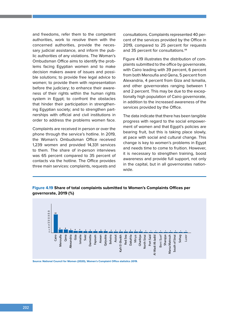and freedoms, refer them to the competent authorities, work to resolve them with the concerned authorities, provide the necessary judicial assistance, and inform the public authorities of any violations. The Woman's Ombudsman Office aims to identify the problems facing Egyptian women and to make decision makers aware of issues and possible solutions; to provide free legal advice to women; to provide them with representation before the judiciary; to enhance their awareness of their rights within the human rights system in Egypt; to confront the obstacles that hinder their participation in strengthening Egyptian society; and to strengthen partnerships with official and civil institutions in order to address the problems women face.

Complaints are received in person or over the phone through the service's hotline. In 2019, the Woman's Ombudsman Office received 1,239 women and provided 14,331 services to them. The share of in-person interviews was 65 percent compared to 35 percent of contacts via the hotline. The Office provides three main services: complaints, requests and consultations. Complaints represented 40 percent of the services provided by the Office in 2019, compared to 25 percent for requests and 35 percent for consultations.<sup>44</sup>

Figure 4.19 illustrates the distribution of complaints submitted to the office by governorate, with Cairo leading with 39 percent, 6 percent from both Menoufia and Qena, 5 percent from Alexandria, 4 percent from Giza and Ismailia, and other governorates ranging between 1 and 2 percent. This may be due to the exceptionally high population of Cairo governorate, in addition to the increased awareness of the services provided by the Office.

The data indicate that there has been tangible progress with regard to the social empowerment of women and that Egypt's policies are bearing fruit, but this is taking place slowly, at pace with social and cultural change. This change is key to women's problems in Egypt and needs time to come to fruition. However, it is necessary to strengthen training, boost awareness and provide full support, not only in the capital, but in all governorates nationwide.





**Source: National Council for Women (2020), Women's Complaint Office statistics 2019.**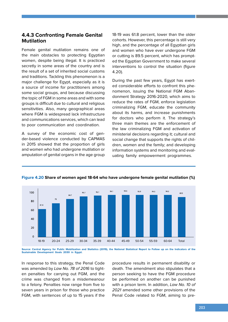# **4.4.3 Confronting Female Genital Mutilation**

Female genital mutilation remains one of the main obstacles to protecting Egyptian women, despite being illegal. It is practiced secretly in some areas of the country and is the result of a set of inherited social customs and traditions. Tackling this phenomenon is a major challenge for Egypt, especially as it is a source of income for practitioners among some social groups, and because discussing the topic of FGM in some areas and with some groups is difficult due to cultural and religious sensitivities. Also, many geographical areas where FGM is widespread lack infrastructure and communications services, which can lead to poor communication and coordination.

A survey of the economic cost of gender-based violence conducted by CAPMAS in 2015 showed that the proportion of girls and women who had undergone mutilation or amputation of genital organs in the age group 18-19 was 61.8 percent, lower than the older cohorts. However, this percentage is still very high, and the percentage of all Egyptian girls and women who have ever undergone FGM or cutting is 89.5 percent, which has prompted the Egyptian Government to make several interventions to control the situation (figure 4.20).

During the past few years, Egypt has exerted considerable efforts to confront this phenomenon, issuing the National FGM Abandonment Strategy 2016-2020, which aims to reduce the rates of FGM, enforce legislation criminalizing FGM, educate the community about its harms, and increase punishments for doctors who perform it. The strategy's three main themes are the enforcement of the law criminalizing FGM and activation of ministerial decisions regarding it; cultural and social change that supports the rights of children, women and the family; and developing information systems and monitoring and evaluating family empowerment programmes.



# **Figure 4.20 Share of women aged 18-64 who have undergone female genital mutilation (%)**

**Source: Central Agency for Public Mobilization and Statistics (2019), the National Statistical Report to Follow up on the Indicators of the Sustainable Development Goals 2030 in Egypt.**

In response to this strategy, the Penal Code was amended by Law No. 78 of 2016 to tighten penalties for carrying out FGM, and the crime was changed from a misdemeanour to a felony. Penalties now range from five to seven years in prison for those who practice FGM, with sentences of up to 15 years if the

procedure results in permanent disability or death. The amendment also stipulates that a person seeking to have the FGM procedure be performed on another can be punished with a prison term. In addition, Law No. 10 of 2021 amended some other provisions of the Penal Code related to FGM, aiming to pre-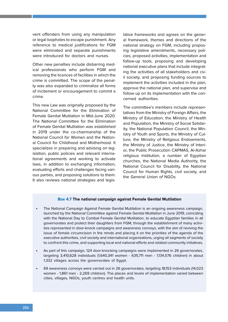vent offenders from using any manipulation or legal loopholes to escape punishment. Any reference to medical justifications for FGM were eliminated and separate punishments were introduced for doctors and nurses.

Other new penalties include disbarring medical professionals who perform FGM and removing the licences of facilities in which the crime is committed. The scope of the penalty was also expanded to criminalize all forms of incitement or encouragement to commit a crime.

This new Law was originally proposed by the National Committee for the Elimination of Female Genital Mutilation in Mid-June 2020. The National Committee for the Elimination of Female Genital Mutilation was established in 2019 under the co-chairmanship of the National Council for Women and the National Council for Childhood and Motherhood. It specializes in preparing and advising on legislation, public policies and relevant international agreements and working to activate laws, in addition to exchanging information, evaluating efforts and challenges facing various parties, and proposing solutions to them. It also reviews national strategies and legislative frameworks and agrees on the general framework, themes and directions of the national strategy on FGM, including proposing legislative amendments, necessary policies, proposed activities, implementation and follow-up tools, proposing and developing national executive plans that include integrating the activities of all stakeholders and civil society, and proposing funding sources to implement the activities included in the plan, approve the national plan, and supervise and follow up on its implementation with the concerned authorities.

The committee's members include representatives from the Ministry of Foreign Affairs, the Ministry of Education, the Ministry of Health and Population, the Ministry of Social Solidarity, the National Population Council, the Ministry of Youth and Sports, the Ministry of Culture, the Ministry of Religious Endowments, the Ministry of Justice, the Ministry of Interior, the Public Prosecution CAPMAS, Al-Azhar religious institution, a number of Egyptian churches, the National Media Authority, the National Council for Disability, the National Council for Human Rights, civil society, and the General Union of NGOs.

## **Box 4.7 The national campaign against Female Genital Mutilation**

- **•** The National Campaign Against Female Genital Mutilation is an ongoing awareness campaign, launched by the National Committee against Female Genital Mutilation in June 2019, coinciding with the National Day to Combat Female Genital Mutilation, to educate Egyptian families in all governorates and protect their daughters from FGM, through the establishment of many activities represented in door-knock campaigns and awareness convoys, with the aim of reviving the issue of female circumcision in the minds and placing it on the priorities of the agenda of the executive authorities, civil society and international organizations, urging all segments of society to confront this crime, and supporting local and national efforts and related community initiatives.
- **•** As part of this campaign, 124 door-knocking campaigns were implemented in 26 governorates, targeting 3,410,628 individuals (1,640,341 women - 635,711 men - 1,134,576 children) in about 1,332 villages across the governorates of Egypt.
- **•** 69 awareness convoys were carried out in 26 governorates, targeting 18,153 individuals (14,023 women - 1,861 men - 2,269 children). The places and levels of implementation varied between cities, villages, NGOs, youth centres and health units.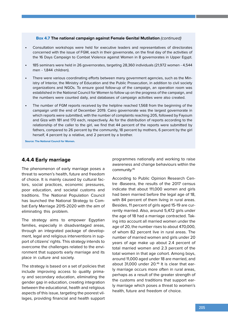## **Box 4.7 The national campaign against Female Genital Mutilation** (continued)

- **•** Consultation workshops were held for executive leaders and representatives of directorates concerned with the issue of FGM, each in their governorate, on the final day of the activities of the 16 Days Campaign to Combat Violence against Women in 8 governorates in Upper Egypt.
- **•** 185 seminars were held in 26 governorates, targeting 28,360 individuals (21,972 women 4,544 men - 1,844 children).
- **•** There were various coordinating efforts between many government agencies, such as the Ministry of Interior, the Ministry of Education and the Public Prosecution, in addition to civil society organizations and NGOs. To ensure good follow-up of the campaign, an operation room was established in the National Council for Women to follow up on the progress of the campaign, and the numbers were counted daily, and databases of campaign activities were also created.
- **•** The number of FGM reports received by the helpline reached 1,568 from the beginning of the campaign until the end of December 2019. Cairo governorate was the largest governorate in which reports were submitted, with the number of complaints reaching 205, followed by Fayoum and Giza with 181 and 170 each, respectively. As for the distribution of reports according to the relationship of the caller to the girl, we find that 44 percent of the reports were submitted by fathers, compared to 26 percent by the community, 18 percent by mothers, 6 percent by the girl herself, 4 percent by a relative, and 2 percent by a brother.

**Source: The National Council for Women.**

# **4.4.4 Early marriage**

The phenomenon of early marriage poses a threat to women's health, future and freedom of choice. It is mainly caused by cultural factors, social practices, economic pressures, poor education, and societal customs and traditions. The National Population Council has launched the National Strategy to Combat Early Marriage 2015-2020 with the aim of eliminating this problem.

The strategy aims to empower Egyptian families, especially in disadvantaged areas, through an integrated package of development, legal and religious interventions in support of citizens' rights. This strategy intends to overcome the challenges related to the environment that supports early marriage and its place in culture and society.

The strategy is based on a set of policies that include improving access to quality primary and secondary education, eliminating the gender gap in education, creating integration between the educational, health and religious aspects of this issue, targeting the poorest villages, providing financial and health support programmes nationally and working to raise awareness and change behaviours within the community.45

According to Public Opinion Research Centre -Baseera, the results of the 2017 census indicate that about 111,000 women and girls had been married before the legal age of 18, with 84 percent of them living in rural areas. Besides, 11 percent of girls aged 15-19 are currently married. Also, around 5,472 girls under the age of 18 had a marriage contracted. Taking into account all married women under the age of 20, the number rises to about 470,000, of whom 82 percent live in rural areas. The number of married women and girls under 20 years of age make up about 2.4 percent of total married women and 2.3 percent of the total women in that age cohort. Among boys, around 11,000 aged under 18 are married, and about 31,000 under 20.<sup>46</sup> It is clear that early marriage occurs more often in rural areas, perhaps as a result of the greater strength of the customs and traditions that support early marriage which poses a threat to women's health, future and freedom of choice.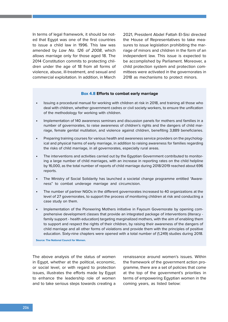In terms of legal framework, it should be noted that Egypt was one of the first countries to issue a child law in 1996. This law was amended by Law No. 126 of 2008, which allows marriage only for those aged 18. The 2014 Constitution commits to protecting children under the age of 18 from all forms of violence, abuse, ill-treatment, and sexual and commercial exploitation. In addition, in March 2021, President Abdel Fattah El-Sisi directed the House of Representatives to take measures to issue legislation prohibiting the marriage of minors and children in the form of an independent law. This issue is expected to be accomplished by Parliament. Moreover, a child protection system and protection committees were activated in the governorates in 2018 as mechanisms to protect minors.

#### **Box 4.8 Efforts to combat early marriage**

- **•** Issuing a procedural manual for working with children at risk in 2018, and training all those who deal with children, whether government cadres or civil society workers, to ensure the unification of the methodology for working with children.
- **•** Implementation of 140 awareness seminars and discussion panels for mothers and families in a number of governorates, to raise awareness of children's rights and the dangers of child marriage, female genital mutilation, and violence against children, benefiting 3,889 beneficiaries.
- **•** Preparing training courses for various health and awareness service providers on the psychological and physical harms of early marriage, in addition to raising awareness for families regarding the risks of child marriage, in all governorates, especially rural areas.
- **•** The interventions and activities carried out by the Egyptian Government contributed to monitoring a large number of child marriages, with an increase in reporting rates on the child helpline by 16,000, as the total number of reports of child marriage during 2018/2019 reached about 696 reports.
- **•** The Ministry of Social Solidarity has launched a societal change programme entitled "Awareness" to combat underage marriage and circumcision.
- **•** The number of partner NGOs in the different governorates increased to 40 organizations at the level of 27 governorates, to support the process of monitoring children at risk and conducting a case study on them.
- **•** Implementation of the Pioneering Mothers initiative in Fayoum Governorate by opening comprehensive development classes that provide an integrated package of interventions (literacy family support - health education) targeting marginalized mothers, with the aim of enabling them to support and respect the rights of their children, by raising their awareness of the dangers of child marriage and all other forms of violations and provide them with the principles of positive education. Sixty-nine chapters were opened with a total number of (1,249) studies during 2018.

**Source: The National Council for Women.**

The above analysis of the status of women in Egypt, whether at the political, economic, or social level, or with regard to protection issues, illustrates the efforts made by Egypt to enhance the leadership role of women and to take serious steps towards creating a

renaissance around women's issues. Within the framework of the government action programme, there are a set of policies that come at the top of the government's priorities in terms of empowering Egyptian women in the coming years, as listed below: